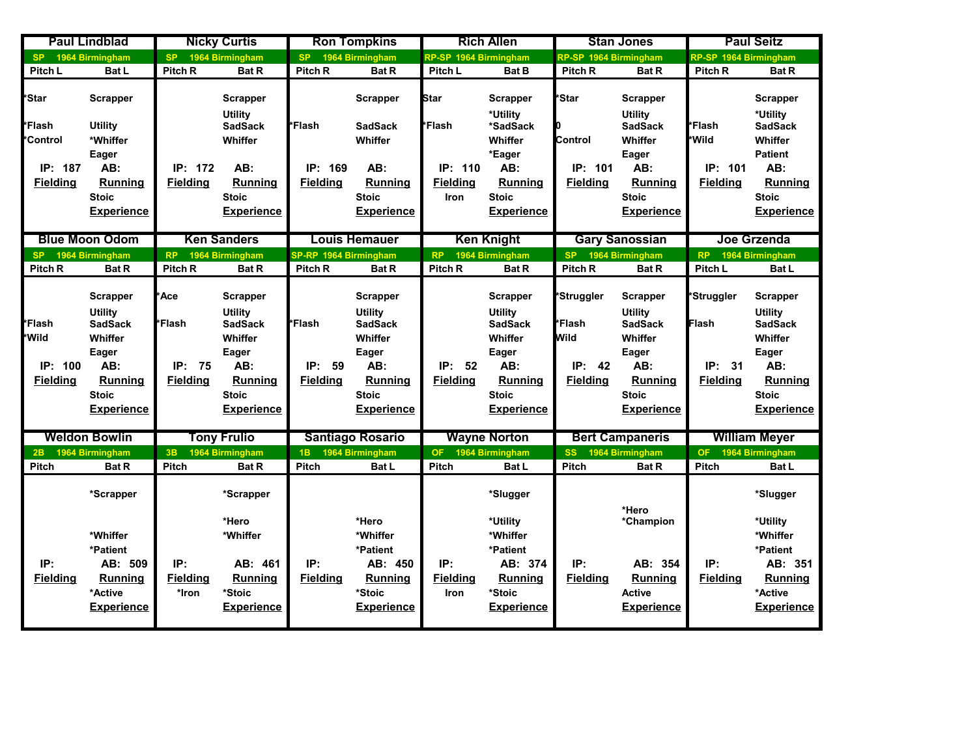|                                                  | <b>Paul Lindblad</b>                                                                                                                  |                                                         | <b>Nicky Curtis</b>                                                                                                            |                                        | <b>Ron Tompkins</b>                                                                                                                   |                                           | <b>Rich Allen</b>                                                                                                              |                                                                               | <b>Stan Jones</b>                                                                                                       |                                                  | <b>Paul Seitz</b>                                                                                                                     |
|--------------------------------------------------|---------------------------------------------------------------------------------------------------------------------------------------|---------------------------------------------------------|--------------------------------------------------------------------------------------------------------------------------------|----------------------------------------|---------------------------------------------------------------------------------------------------------------------------------------|-------------------------------------------|--------------------------------------------------------------------------------------------------------------------------------|-------------------------------------------------------------------------------|-------------------------------------------------------------------------------------------------------------------------|--------------------------------------------------|---------------------------------------------------------------------------------------------------------------------------------------|
| SP.                                              | 1964 Birmingham                                                                                                                       | <b>SP</b>                                               | 1964 Birmingham                                                                                                                | <b>SP</b>                              | 1964 Birmingham                                                                                                                       | RP-SP 1964 Birmingham                     |                                                                                                                                | RP-SP 1964 Birmingham                                                         |                                                                                                                         | RP-SP 1964 Birmingham                            |                                                                                                                                       |
| Pitch L                                          | Bat L                                                                                                                                 | Pitch <sub>R</sub>                                      | <b>Bat R</b>                                                                                                                   | Pitch R                                | <b>Bat R</b>                                                                                                                          | Pitch L                                   | <b>Bat B</b>                                                                                                                   | <b>Pitch R</b>                                                                | <b>Bat R</b>                                                                                                            | Pitch <sub>R</sub>                               | <b>Bat R</b>                                                                                                                          |
| *Star<br>*Flash<br><b>Control</b>                | Scrapper<br><b>Utility</b><br>*Whiffer                                                                                                |                                                         | <b>Scrapper</b><br><b>Utility</b><br><b>SadSack</b><br>Whiffer                                                                 | *Flash                                 | <b>Scrapper</b><br><b>SadSack</b><br>Whiffer                                                                                          | Star<br>*Flash                            | Scrapper<br>*Utility<br>*SadSack<br>Whiffer                                                                                    | *Star<br>Control                                                              | Scrapper<br>Utility<br><b>SadSack</b><br>Whiffer                                                                        | <b>*Flash</b><br>*Wild                           | <b>Scrapper</b><br>*Utility<br><b>SadSack</b><br>Whiffer                                                                              |
| IP: 187<br><b>Fielding</b>                       | Eager<br>AB:<br>Running<br><b>Stoic</b><br><b>Experience</b>                                                                          | IP: 172<br><b>Fielding</b>                              | AB:<br><b>Running</b><br><b>Stoic</b><br><b>Experience</b>                                                                     | IP:<br>169<br><b>Fielding</b>          | AB:<br><b>Running</b><br><b>Stoic</b><br><b>Experience</b>                                                                            | IP: 110<br><b>Fielding</b><br><b>Iron</b> | *Eager<br>AB:<br><b>Running</b><br><b>Stoic</b><br><b>Experience</b>                                                           | IP: 101<br><b>Fielding</b>                                                    | Eager<br>AB:<br>Running<br><b>Stoic</b><br><b>Experience</b>                                                            | IP: 101<br><b>Fielding</b>                       | <b>Patient</b><br>AB:<br><b>Running</b><br><b>Stoic</b><br>Experience                                                                 |
|                                                  | <b>Blue Moon Odom</b>                                                                                                                 |                                                         | <b>Ken Sanders</b>                                                                                                             |                                        | <b>Louis Hemauer</b>                                                                                                                  |                                           | <b>Ken Knight</b>                                                                                                              |                                                                               | <b>Gary Sanossian</b>                                                                                                   |                                                  | Joe Grzenda                                                                                                                           |
| <b>SP</b>                                        | 1964 Birmingham                                                                                                                       | <b>RP</b>                                               | 1964 Birmingham                                                                                                                | SP-RP 1964 Birmingham                  |                                                                                                                                       | RP                                        | 1964 Birmingham                                                                                                                | <b>SP</b>                                                                     | 1964 Birmingham                                                                                                         | <b>RP</b>                                        | 1964 Birmingham                                                                                                                       |
| Pitch <sub>R</sub>                               | <b>Bat R</b>                                                                                                                          | Pitch <sub>R</sub>                                      | <b>Bat R</b>                                                                                                                   | Pitch <sub>R</sub>                     | <b>Bat R</b>                                                                                                                          | Pitch <sub>R</sub>                        | <b>Bat R</b>                                                                                                                   | Pitch <sub>R</sub>                                                            | <b>Bat R</b>                                                                                                            | Pitch L                                          | <b>Bat L</b>                                                                                                                          |
| *Flash<br>*Wild<br>IP:<br>100<br><b>Fielding</b> | <b>Scrapper</b><br><b>Utility</b><br><b>SadSack</b><br>Whiffer<br>Eager<br>AB:<br><b>Running</b><br><b>Stoic</b><br><b>Experience</b> | <b>Ace</b><br><b>Flash</b><br>IP: 75<br><b>Fielding</b> | <b>Scrapper</b><br><b>Utility</b><br><b>SadSack</b><br>Whiffer<br>Eager<br>AB:<br>Running<br><b>Stoic</b><br><b>Experience</b> | *Flash<br>IP:<br>59<br><b>Fielding</b> | <b>Scrapper</b><br><b>Utility</b><br><b>SadSack</b><br>Whiffer<br>Eager<br>AB:<br><b>Running</b><br><b>Stoic</b><br><b>Experience</b> | IP: 52<br><b>Fielding</b>                 | <b>Scrapper</b><br><b>Utility</b><br><b>SadSack</b><br>Whiffer<br>Eager<br>AB:<br>Running<br><b>Stoic</b><br><b>Experience</b> | *Struggler<br><i>l</i> *Flash<br><b>M</b> ild<br>IP:<br>42<br><b>Fielding</b> | Scrapper<br><b>Utility</b><br><b>SadSack</b><br>Whiffer<br>Eager<br>AB:<br>Running<br><b>Stoic</b><br><b>Experience</b> | *Struggler<br>Flash<br>IP: 31<br><b>Fielding</b> | <b>Scrapper</b><br><b>Utility</b><br><b>SadSack</b><br>Whiffer<br>Eager<br>AB:<br><b>Running</b><br><b>Stoic</b><br><b>Experience</b> |
|                                                  | <b>Weldon Bowlin</b>                                                                                                                  |                                                         | <b>Tony Frulio</b>                                                                                                             |                                        | <b>Santiago Rosario</b>                                                                                                               |                                           | <b>Wayne Norton</b>                                                                                                            |                                                                               | <b>Bert Campaneris</b>                                                                                                  |                                                  | <b>William Meyer</b>                                                                                                                  |
| 2B                                               | 1964 Birmingham                                                                                                                       | 3B                                                      | 1964 Birmingham                                                                                                                | 1B                                     | 1964 Birmingham                                                                                                                       | OF:                                       | 1964 Birmingham                                                                                                                | <b>SS</b>                                                                     | 1964 Birmingham                                                                                                         | <b>OF</b>                                        | 1964 Birmingham                                                                                                                       |
| <b>Pitch</b>                                     | <b>Bat R</b>                                                                                                                          | <b>Pitch</b>                                            | <b>Bat R</b>                                                                                                                   | <b>Pitch</b>                           | Bat L                                                                                                                                 | Pitch                                     | Bat L                                                                                                                          | <b>Pitch</b>                                                                  | <b>Bat R</b>                                                                                                            | Pitch                                            | <b>Bat L</b>                                                                                                                          |
| IP:<br><b>Fielding</b>                           | *Scrapper<br>*Whiffer<br>*Patient<br>AB: 509<br>Running<br>*Active                                                                    | IP:<br><b>Fielding</b><br>*Iron                         | *Scrapper<br>*Hero<br>*Whiffer<br>AB: 461<br>Running<br>*Stoic                                                                 | IP:<br><b>Fielding</b>                 | *Hero<br>*Whiffer<br>*Patient<br>AB: 450<br>Running<br>*Stoic                                                                         | IP:<br><b>Fielding</b><br>Iron            | *Slugger<br>*Utility<br>*Whiffer<br>*Patient<br>AB: 374<br>Running<br>*Stoic                                                   | IP:<br><b>Fielding</b>                                                        | *Hero<br>*Champion<br>AB: 354<br><b>Running</b><br><b>Active</b>                                                        | IP:<br><b>Fielding</b>                           | *Slugger<br>*Utility<br>*Whiffer<br>*Patient<br>AB: 351<br>Running<br>*Active<br><b>Experience</b>                                    |
|                                                  | <b>Experience</b>                                                                                                                     |                                                         | <b>Experience</b>                                                                                                              |                                        | <b>Experience</b>                                                                                                                     |                                           | <b>Experience</b>                                                                                                              |                                                                               | <b>Experience</b>                                                                                                       |                                                  |                                                                                                                                       |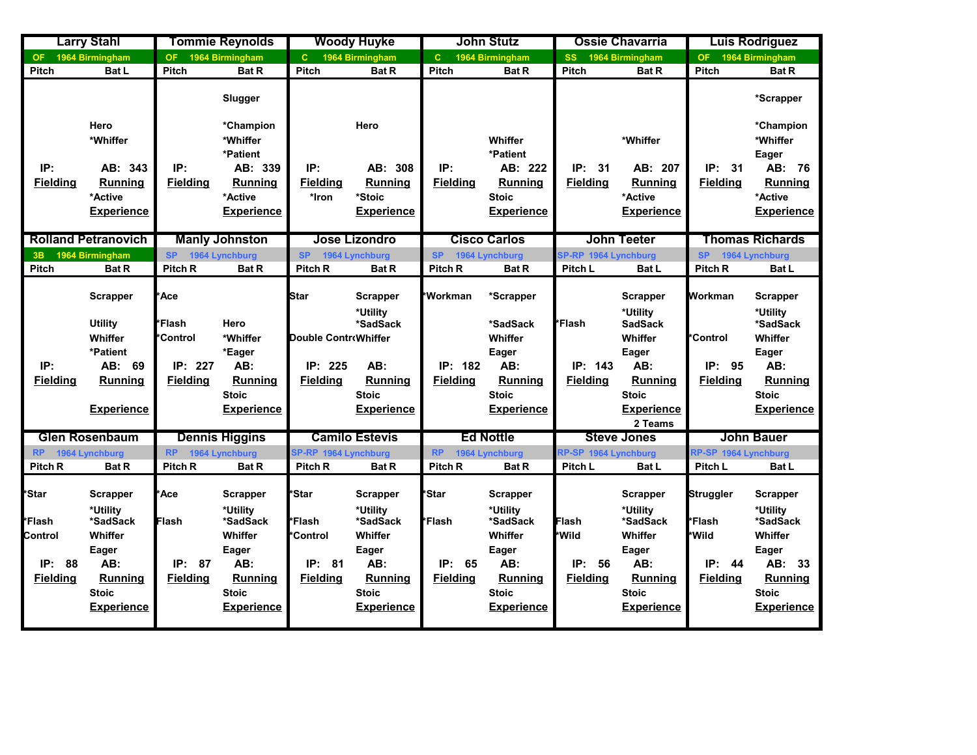|                                                           | <b>Larry Stahl</b>                                                                                                        |                                            | <b>Tommie Reynolds</b>                                                                                                    |                                                          | <b>Woody Huyke</b>                                                                                          |                                                     | <b>John Stutz</b>                                                                                                  |                                                | <b>Ossie Chavarria</b>                                                                                                    |                                                           | Luis Rodriguez                                                                                                               |
|-----------------------------------------------------------|---------------------------------------------------------------------------------------------------------------------------|--------------------------------------------|---------------------------------------------------------------------------------------------------------------------------|----------------------------------------------------------|-------------------------------------------------------------------------------------------------------------|-----------------------------------------------------|--------------------------------------------------------------------------------------------------------------------|------------------------------------------------|---------------------------------------------------------------------------------------------------------------------------|-----------------------------------------------------------|------------------------------------------------------------------------------------------------------------------------------|
| OF.                                                       | 1964 Birmingham                                                                                                           | <b>OF</b>                                  | 1964 Birmingham                                                                                                           | $\mathbf{C}$                                             | 1964 Birmingham                                                                                             | $\mathbf{C}$                                        | 1964 Birmingham                                                                                                    | <b>SS</b>                                      | 1964 Birmingham                                                                                                           | OF :                                                      | 1964 Birmingham                                                                                                              |
| <b>Pitch</b>                                              | <b>Bat L</b>                                                                                                              | <b>Pitch</b>                               | <b>Bat R</b>                                                                                                              | Pitch                                                    | <b>Bat R</b>                                                                                                | Pitch                                               | <b>Bat R</b>                                                                                                       | <b>Pitch</b>                                   | <b>Bat R</b>                                                                                                              | Pitch                                                     | <b>Bat R</b>                                                                                                                 |
|                                                           |                                                                                                                           |                                            | Slugger                                                                                                                   |                                                          |                                                                                                             |                                                     |                                                                                                                    |                                                |                                                                                                                           |                                                           | *Scrapper                                                                                                                    |
|                                                           | Hero<br>*Whiffer                                                                                                          |                                            | *Champion<br>*Whiffer<br>*Patient                                                                                         |                                                          | Hero                                                                                                        |                                                     | Whiffer<br>*Patient                                                                                                |                                                | *Whiffer                                                                                                                  |                                                           | *Champion<br>*Whiffer<br>Eager                                                                                               |
| IP:<br><b>Fielding</b>                                    | AB: 343<br><b>Running</b><br>*Active<br><b>Experience</b>                                                                 | IP:<br><b>Fielding</b>                     | AB: 339<br><b>Running</b><br>*Active<br><b>Experience</b>                                                                 | IP:<br><b>Fielding</b><br>*Iron                          | AB: 308<br><b>Running</b><br>*Stoic<br><b>Experience</b>                                                    | IP:<br><b>Fielding</b>                              | AB: 222<br>Running<br><b>Stoic</b><br><b>Experience</b>                                                            | IP:<br>31<br><b>Fielding</b>                   | AB: 207<br><b>Running</b><br>*Active<br><b>Experience</b>                                                                 | IP:<br>31<br><b>Fielding</b>                              | AB: 76<br><b>Running</b><br>*Active<br><b>Experience</b>                                                                     |
|                                                           | <b>Rolland Petranovich</b>                                                                                                |                                            | <b>Manly Johnston</b>                                                                                                     |                                                          | <b>Jose Lizondro</b>                                                                                        |                                                     | <b>Cisco Carlos</b>                                                                                                |                                                | <b>John Teeter</b>                                                                                                        |                                                           | <b>Thomas Richards</b>                                                                                                       |
| 3B                                                        | 1964 Birmingham                                                                                                           | <b>SP</b>                                  | 1964 Lynchburg                                                                                                            | <b>SP</b>                                                | 1964 Lynchburg                                                                                              | <b>SP</b>                                           | 1964 Lynchburg                                                                                                     | SP-RP 1964 Lynchburg                           |                                                                                                                           | <b>SP</b>                                                 | 1964 Lynchburg                                                                                                               |
| <b>Pitch</b>                                              | <b>Bat R</b>                                                                                                              | Pitch <sub>R</sub>                         | <b>Bat R</b>                                                                                                              | Pitch R                                                  | <b>Bat R</b>                                                                                                | Pitch <sub>R</sub>                                  | <b>Bat R</b>                                                                                                       | Pitch L                                        | <b>Bat L</b>                                                                                                              | Pitch R                                                   | <b>Bat L</b>                                                                                                                 |
|                                                           | Scrapper<br><b>Utility</b>                                                                                                | *Ace<br><b>Flash</b>                       | Hero                                                                                                                      | <b>Star</b>                                              | <b>Scrapper</b><br>*Utility<br>*SadSack                                                                     | *Workman                                            | *Scrapper<br>*SadSack                                                                                              | *Flash                                         | <b>Scrapper</b><br>*Utility<br><b>SadSack</b>                                                                             | Workman                                                   | <b>Scrapper</b><br>*Utility<br>*SadSack                                                                                      |
|                                                           | Whiffer<br>*Patient                                                                                                       | <b>Control</b>                             | *Whiffer<br>*Eager                                                                                                        | Double ControWhiffer                                     |                                                                                                             |                                                     | Whiffer<br>Eager                                                                                                   |                                                | Whiffer<br>Eager                                                                                                          | <b>Control</b>                                            | Whiffer<br>Eager                                                                                                             |
| IP:<br><b>Fielding</b>                                    | AB: 69<br><b>Running</b><br><b>Experience</b>                                                                             | IP: 227<br><b>Fielding</b>                 | AB:<br><b>Running</b><br><b>Stoic</b><br><b>Experience</b>                                                                | IP: 225<br><b>Fielding</b>                               | AB:<br>Running<br><b>Stoic</b><br><b>Experience</b>                                                         | <b>IP: 182</b><br><b>Fielding</b>                   | AB:<br><b>Running</b><br><b>Stoic</b><br><b>Experience</b>                                                         | IP: 143<br><b>Fielding</b>                     | AB:<br><b>Running</b><br><b>Stoic</b><br><b>Experience</b>                                                                | IP: 95<br><b>Fielding</b>                                 | AB:<br><b>Running</b><br><b>Stoic</b><br><b>Experience</b>                                                                   |
|                                                           |                                                                                                                           |                                            |                                                                                                                           |                                                          |                                                                                                             |                                                     |                                                                                                                    |                                                | 2 Teams                                                                                                                   |                                                           |                                                                                                                              |
|                                                           | <b>Glen Rosenbaum</b>                                                                                                     |                                            | <b>Dennis Higgins</b>                                                                                                     |                                                          | <b>Camilo Estevis</b>                                                                                       |                                                     | <b>Ed Nottle</b>                                                                                                   |                                                | <b>Steve Jones</b>                                                                                                        |                                                           | <b>John Bauer</b>                                                                                                            |
| <b>RP</b>                                                 | 1964 Lynchburg                                                                                                            | <b>RP</b>                                  | 1964 Lynchburg                                                                                                            | SP-RP 1964 Lynchburg                                     |                                                                                                             | <b>RP</b>                                           | 1964 Lynchburg                                                                                                     | RP-SP 1964 Lynchburg                           |                                                                                                                           | RP-SP 1964 Lynchburg                                      |                                                                                                                              |
| Pitch <sub>R</sub>                                        | <b>Bat R</b>                                                                                                              | Pitch <sub>R</sub>                         | <b>Bat R</b>                                                                                                              | Pitch <sub>R</sub>                                       | <b>Bat R</b>                                                                                                | Pitch <sub>R</sub>                                  | <b>Bat R</b>                                                                                                       | Pitch L                                        | Bat L                                                                                                                     | Pitch L                                                   | <b>Bat L</b>                                                                                                                 |
| *Star<br>i*Flash*<br>Control<br>IP: 88<br><b>Fielding</b> | <b>Scrapper</b><br>*Utility<br>*SadSack<br>Whiffer<br>Eager<br>AB:<br><b>Running</b><br><b>Stoic</b><br><b>Experience</b> | *Ace<br>Flash<br>IP: 87<br><b>Fielding</b> | <b>Scrapper</b><br>*Utility<br>*SadSack<br>Whiffer<br>Eager<br>AB:<br><b>Running</b><br><b>Stoic</b><br><b>Experience</b> | *Star<br>*Flash<br>*Control<br>IP: 81<br><b>Fielding</b> | Scrapper<br>*Utility<br>*SadSack<br>Whiffer<br>Eager<br>AB:<br>Running<br><b>Stoic</b><br><b>Experience</b> | *Star<br><b>*Flash</b><br>IP: 65<br><b>Fielding</b> | Scrapper<br>*Utility<br>*SadSack<br>Whiffer<br>Eager<br>AB:<br><b>Running</b><br><b>Stoic</b><br><b>Experience</b> | Flash<br>*Wild<br>IP:<br>56<br><b>Fielding</b> | <b>Scrapper</b><br>*Utility<br>*SadSack<br>Whiffer<br>Eager<br>AB:<br><b>Running</b><br><b>Stoic</b><br><b>Experience</b> | Struggler<br>*Flash<br>*Wild<br>IP: 44<br><b>Fielding</b> | <b>Scrapper</b><br>*Utility<br>*SadSack<br>Whiffer<br>Eager<br>AB: 33<br><b>Running</b><br><b>Stoic</b><br><b>Experience</b> |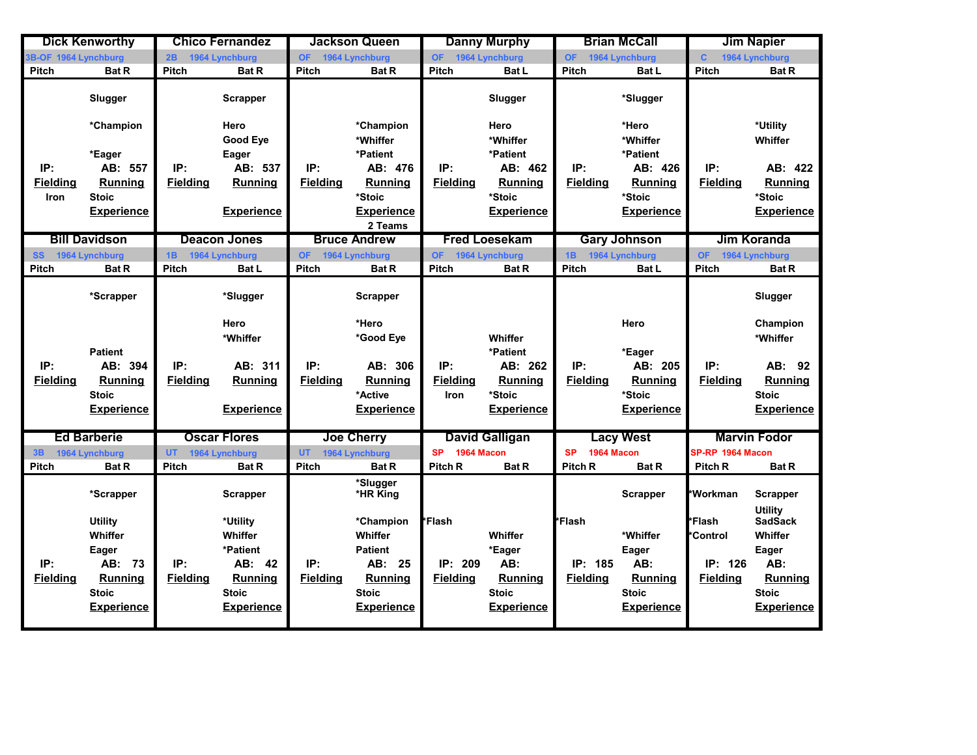|                      | <b>Dick Kenworthy</b> |                 | <b>Chico Fernandez</b> |                   | <b>Jackson Queen</b>         |                         | <b>Danny Murphy</b>   |                         | <b>Brian McCall</b> |                  | <b>Jim Napier</b>                 |
|----------------------|-----------------------|-----------------|------------------------|-------------------|------------------------------|-------------------------|-----------------------|-------------------------|---------------------|------------------|-----------------------------------|
| 3B-OF 1964 Lynchburg |                       | 2B              | 1964 Lynchburg         | OF 1964 Lynchburg |                              | OF 1964 Lynchburg       |                       | OF 1964 Lynchburg       |                     | $\mathbf{C}$     | 1964 Lynchburg                    |
| <b>Pitch</b>         | <b>Bat R</b>          | <b>Pitch</b>    | <b>Bat R</b>           | Pitch             | <b>Bat R</b>                 | Pitch                   | <b>Bat L</b>          | <b>Pitch</b>            | Bat L               | <b>Pitch</b>     | <b>Bat R</b>                      |
|                      | Slugger               |                 | <b>Scrapper</b>        |                   |                              |                         | Slugger               |                         | *Slugger            |                  |                                   |
|                      | *Champion             |                 | Hero<br>Good Eye       |                   | *Champion<br>*Whiffer        |                         | Hero<br>*Whiffer      |                         | *Hero<br>*Whiffer   |                  | *Utility<br>Whiffer               |
|                      | *Eager                |                 | Eager                  |                   | *Patient                     |                         | *Patient              |                         | *Patient            |                  |                                   |
| IP:                  | AB: 557               | IP:             | AB: 537                | IP:               | AB: 476                      | IP:                     | AB: 462               | IP:                     | AB: 426             | IP:              | AB: 422                           |
| <b>Fielding</b>      | <b>Running</b>        | <b>Fielding</b> | <b>Running</b>         | <b>Fielding</b>   | <b>Running</b>               | <b>Fielding</b>         | <b>Running</b>        | <b>Fielding</b>         | <b>Running</b>      | <b>Fielding</b>  | <b>Running</b>                    |
| Iron                 | <b>Stoic</b>          |                 |                        |                   | *Stoic                       |                         | *Stoic                |                         | *Stoic              |                  | *Stoic                            |
|                      | <b>Experience</b>     |                 | <b>Experience</b>      |                   | <b>Experience</b><br>2 Teams |                         | <b>Experience</b>     |                         | <b>Experience</b>   |                  | <b>Experience</b>                 |
|                      | <b>Bill Davidson</b>  |                 | <b>Deacon Jones</b>    |                   | <b>Bruce Andrew</b>          |                         | <b>Fred Loesekam</b>  |                         | <b>Gary Johnson</b> |                  | Jim Koranda                       |
| SS 1964 Lynchburg    |                       | 1B              | 1964 Lynchburg         | OF 1964 Lynchburg |                              | <b>OF</b>               | 1964 Lynchburg        | 1B 1964 Lynchburg       |                     | OF.              | 1964 Lynchburg                    |
| <b>Pitch</b>         | <b>Bat R</b>          | Pitch           | <b>Bat L</b>           | <b>Pitch</b>      | <b>Bat R</b>                 | Pitch                   | <b>Bat R</b>          | <b>Pitch</b>            | <b>Bat L</b>        | Pitch            | <b>Bat R</b>                      |
|                      | *Scrapper             |                 | *Slugger               |                   | <b>Scrapper</b>              |                         |                       |                         |                     |                  | Slugger                           |
|                      |                       |                 | Hero                   |                   | *Hero                        |                         |                       |                         | Hero                |                  | Champion                          |
|                      |                       |                 | *Whiffer               |                   | *Good Eye                    |                         | Whiffer               |                         |                     |                  | *Whiffer                          |
|                      | <b>Patient</b>        |                 |                        |                   |                              |                         | *Patient              |                         | *Eager              |                  |                                   |
| IP:                  | AB: 394               | IP:             | AB: 311                | IP:               | AB: 306                      | IP:                     | AB: 262               | IP:                     | AB: 205             | IP:              | AB: 92                            |
| <b>Fielding</b>      | <b>Running</b>        | <b>Fielding</b> | <b>Running</b>         | <b>Fielding</b>   | <b>Running</b>               | <b>Fielding</b>         | <b>Running</b>        | <b>Fielding</b>         | <b>Running</b>      | <b>Fielding</b>  | <b>Running</b>                    |
|                      | <b>Stoic</b>          |                 |                        |                   | *Active                      | Iron                    | *Stoic                |                         | *Stoic              |                  | <b>Stoic</b>                      |
|                      | <b>Experience</b>     |                 | <b>Experience</b>      |                   | <b>Experience</b>            |                         | <b>Experience</b>     |                         | <b>Experience</b>   |                  | <b>Experience</b>                 |
|                      |                       |                 |                        |                   |                              |                         |                       |                         |                     |                  |                                   |
|                      | <b>Ed Barberie</b>    |                 | <b>Oscar Flores</b>    |                   | <b>Joe Cherry</b>            |                         | <b>David Galligan</b> |                         | <b>Lacy West</b>    |                  | <b>Marvin Fodor</b>               |
| 3B                   | 1964 Lynchburg        | UT.             | 1964 Lynchburg         | <b>UT</b>         | 1964 Lynchburg               | 1964 Macon<br><b>SP</b> |                       | 1964 Macon<br><b>SP</b> |                     | SP-RP 1964 Macon |                                   |
| <b>Pitch</b>         | <b>Bat R</b>          | <b>Pitch</b>    | <b>Bat R</b>           | <b>Pitch</b>      | <b>Bat R</b>                 | <b>Pitch R</b>          | <b>Bat R</b>          | <b>Pitch R</b>          | <b>Bat R</b>        | <b>Pitch R</b>   | <b>Bat R</b>                      |
|                      | *Scrapper             |                 | <b>Scrapper</b>        |                   | *Slugger<br>*HR King         |                         |                       |                         | Scrapper            | *Workman         | <b>Scrapper</b><br><b>Utility</b> |
|                      | <b>Utility</b>        |                 | *Utility               |                   | *Champion                    | *Flash                  |                       | <mark>l</mark> *Flash   |                     | *Flash           | <b>SadSack</b>                    |
|                      | Whiffer               |                 | Whiffer                |                   | Whiffer                      |                         | Whiffer               |                         | *Whiffer            | *Control         | Whiffer                           |
|                      | Eager                 |                 | *Patient               |                   | <b>Patient</b>               |                         | *Eager                |                         | Eager               |                  | Eager                             |
| IP:                  | AB: 73                | IP:             | AB: 42                 | IP:               | AB: 25                       | IP: 209                 | AB:                   | IP: 185                 | AB:                 | IP: 126          | AB:                               |
| <b>Fielding</b>      | <b>Running</b>        | <b>Fielding</b> | <b>Running</b>         | <b>Fielding</b>   | <b>Running</b>               | <b>Fielding</b>         | <b>Running</b>        | <b>Fielding</b>         | Running             | <b>Fielding</b>  | Running                           |
|                      | <b>Stoic</b>          |                 | <b>Stoic</b>           |                   | <b>Stoic</b>                 |                         | <b>Stoic</b>          |                         | <b>Stoic</b>        |                  | <b>Stoic</b>                      |
|                      | <b>Experience</b>     |                 | <b>Experience</b>      |                   | <b>Experience</b>            |                         | <b>Experience</b>     |                         | <b>Experience</b>   |                  | <b>Experience</b>                 |
|                      |                       |                 |                        |                   |                              |                         |                       |                         |                     |                  |                                   |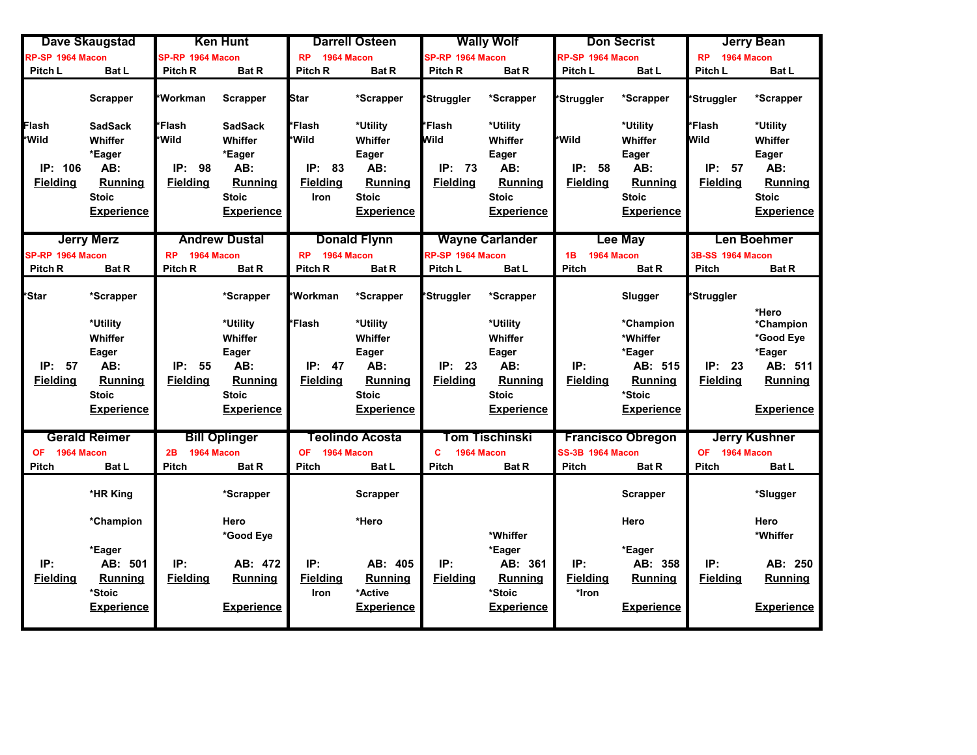|                                              | <b>Dave Skaugstad</b>                                                                                   |                                                      | <b>Ken Hunt</b>                                                                                         |                                                      | <b>Darrell Osteen</b>                                                                                   |                                             | <b>Wally Wolf</b>                                                                                       |                                         | <b>Don Secrist</b>                                                                                     |                                                             | <b>Jerry Bean</b>                                                                           |
|----------------------------------------------|---------------------------------------------------------------------------------------------------------|------------------------------------------------------|---------------------------------------------------------------------------------------------------------|------------------------------------------------------|---------------------------------------------------------------------------------------------------------|---------------------------------------------|---------------------------------------------------------------------------------------------------------|-----------------------------------------|--------------------------------------------------------------------------------------------------------|-------------------------------------------------------------|---------------------------------------------------------------------------------------------|
| RP-SP 1964 Macon                             |                                                                                                         | SP-RP 1964 Macon                                     |                                                                                                         | 1964 Macon<br><b>RP</b>                              |                                                                                                         | SP-RP 1964 Macon                            |                                                                                                         | RP-SP 1964 Macon                        |                                                                                                        | 1964 Macon<br><b>RP</b>                                     |                                                                                             |
| <b>Pitch L</b>                               | Bat L                                                                                                   | Pitch R                                              | <b>Bat R</b>                                                                                            | Pitch R                                              | <b>Bat R</b>                                                                                            | Pitch <sub>R</sub>                          | <b>Bat R</b>                                                                                            | Pitch L                                 | <b>Bat L</b>                                                                                           | Pitch L                                                     | <b>Bat L</b>                                                                                |
|                                              | <b>Scrapper</b>                                                                                         | <b>Workman</b>                                       | <b>Scrapper</b>                                                                                         | Star                                                 | *Scrapper                                                                                               | 'Struggler                                  | *Scrapper                                                                                               | *Struggler                              | *Scrapper                                                                                              | *Struggler                                                  | *Scrapper                                                                                   |
| Flash<br>*Wild<br>IP: 106<br><b>Fielding</b> | <b>SadSack</b><br>Whiffer<br>*Eager<br>AB:<br><b>Running</b><br><b>Stoic</b><br><u>Experience</u>       | Flash<br><b>Wild</b><br>IP:<br>98<br><b>Fielding</b> | SadSack<br>Whiffer<br>*Eager<br>AB:<br><b>Running</b><br><b>Stoic</b><br><u>Experience</u>              | *Flash<br>*Wild<br>IP: 83<br><b>Fielding</b><br>Iron | *Utility<br>Whiffer<br>Eager<br>AB:<br><b>Running</b><br><b>Stoic</b><br><b>Experience</b>              | *Flash<br>Wild<br>IP: 73<br><b>Fielding</b> | *Utility<br>Whiffer<br>Eager<br>AB:<br>Running<br><b>Stoic</b><br><b>Experience</b>                     | *Wild<br>IP:<br>58<br><b>Fielding</b>   | *Utility<br>Whiffer<br>Eager<br>AB:<br><b>Running</b><br><b>Stoic</b><br><b>Experience</b>             | <i>l</i> *Flash<br><b>Wild</b><br>IP: 57<br><b>Fielding</b> | *Utility<br>Whiffer<br>Eager<br>AB:<br><b>Running</b><br><b>Stoic</b><br><b>Experience</b>  |
| SP-RP 1964 Macon<br>Pitch <sub>R</sub>       | <b>Jerry Merz</b><br><b>Bat R</b>                                                                       | <b>RP</b><br>1964 Macon<br>Pitch <sub>R</sub>        | <b>Andrew Dustal</b><br><b>Bat R</b>                                                                    | <b>RP</b><br>1964 Macon<br>Pitch R                   | <b>Donald Flynn</b><br><b>Bat R</b>                                                                     | RP-SP 1964 Macon<br>Pitch L                 | <b>Wayne Carlander</b><br>Bat L                                                                         | 1B<br>1964 Macon<br>Pitch               | <b>Lee May</b><br><b>Bat R</b>                                                                         | 3B-SS 1964 Macon<br><b>Pitch</b>                            | <b>Len Boehmer</b><br><b>Bat R</b>                                                          |
| *Star<br>IP: 57<br><b>Fielding</b>           | *Scrapper<br>*Utility<br>Whiffer<br>Eager<br>AB:<br><b>Running</b><br><b>Stoic</b><br><b>Experience</b> | IP: 55<br><b>Fielding</b>                            | *Scrapper<br>*Utility<br>Whiffer<br>Eager<br>AB:<br><b>Running</b><br><b>Stoic</b><br><b>Experience</b> | *Workman<br>*Flash<br>IP: 47<br><b>Fielding</b>      | *Scrapper<br>*Utility<br>Whiffer<br>Eager<br>AB:<br><b>Running</b><br><b>Stoic</b><br><b>Experience</b> | *Struggler<br>IP: 23<br><b>Fielding</b>     | *Scrapper<br>*Utility<br>Whiffer<br>Eager<br>AB:<br><b>Running</b><br><b>Stoic</b><br><b>Experience</b> | IP:<br><b>Fielding</b>                  | Slugger<br>*Champion<br>*Whiffer<br>*Eager<br>AB: 515<br><b>Running</b><br>*Stoic<br><b>Experience</b> | <b>⊁Struggler</b><br>IP:<br>23<br><b>Fielding</b>           | *Hero<br>*Champion<br>*Good Eye<br>*Eager<br>AB: 511<br><b>Running</b><br><b>Experience</b> |
| 1964 Macon<br><b>OF</b><br><b>Pitch</b>      | <b>Gerald Reimer</b><br><b>Bat L</b>                                                                    | 1964 Macon<br>2B<br><b>Pitch</b>                     | <b>Bill Oplinger</b><br><b>Bat R</b>                                                                    | 1964 Macon<br><b>OF</b><br>Pitch                     | <b>Teolindo Acosta</b><br><b>Bat L</b>                                                                  | C<br>1964 Macon<br><b>Pitch</b>             | Tom Tischinski<br><b>Bat R</b>                                                                          | <b>SS-3B 1964 Macon</b><br><b>Pitch</b> | <b>Francisco Obregon</b><br><b>Bat R</b>                                                               | OF 1964 Macon<br><b>Pitch</b>                               | <b>Jerry Kushner</b><br><b>Bat L</b>                                                        |
| IP:<br><b>Fielding</b>                       | *HR King<br>*Champion<br>*Eager<br>AB: 501<br><b>Running</b><br>*Stoic<br><b>Experience</b>             | IP:<br><b>Fielding</b>                               | *Scrapper<br>Hero<br>*Good Eye<br>AB: 472<br><b>Running</b><br><b>Experience</b>                        | IP:<br><b>Fielding</b><br>Iron                       | <b>Scrapper</b><br>*Hero<br>AB: 405<br><b>Running</b><br>*Active<br><b>Experience</b>                   | IP:<br><b>Fielding</b>                      | *Whiffer<br>*Eager<br>AB: 361<br><b>Running</b><br>*Stoic<br><b>Experience</b>                          | IP:<br><b>Fielding</b><br>*Iron         | <b>Scrapper</b><br>Hero<br>*Eager<br>AB: 358<br>Running<br><b>Experience</b>                           | IP:<br><b>Fielding</b>                                      | *Slugger<br>Hero<br>*Whiffer<br>AB: 250<br>Running<br><b>Experience</b>                     |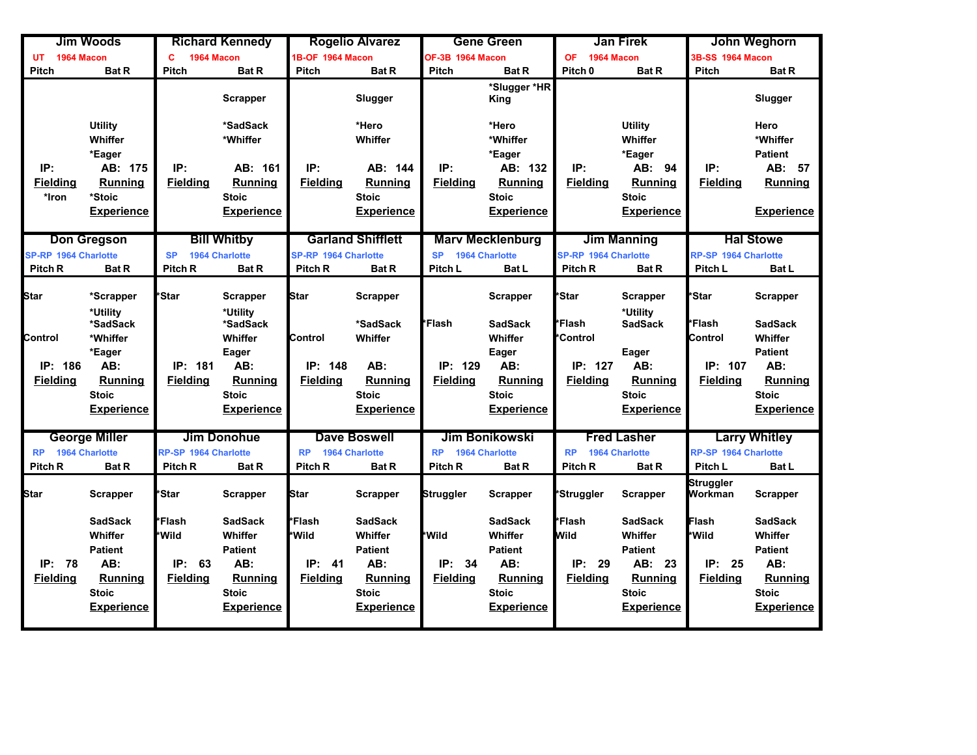|                                               | <b>Jim Woods</b>                                                                                          |                                                       | <b>Richard Kennedy</b>                                                                                    |                                                   | <b>Rogelio Alvarez</b>                                                                             |                                       | <b>Gene Green</b>                                                                                         |                                                       | <b>Jan Firek</b>                                                                                             |                                                | John Weghorn                                                                                              |
|-----------------------------------------------|-----------------------------------------------------------------------------------------------------------|-------------------------------------------------------|-----------------------------------------------------------------------------------------------------------|---------------------------------------------------|----------------------------------------------------------------------------------------------------|---------------------------------------|-----------------------------------------------------------------------------------------------------------|-------------------------------------------------------|--------------------------------------------------------------------------------------------------------------|------------------------------------------------|-----------------------------------------------------------------------------------------------------------|
| 1964 Macon<br>UT                              |                                                                                                           | Ċ<br>1964 Macon                                       |                                                                                                           | 1B-OF 1964 Macon                                  |                                                                                                    | OF-3B 1964 Macon                      |                                                                                                           | <b>OF</b><br>1964 Macon                               |                                                                                                              | 3B-SS 1964 Macon                               |                                                                                                           |
| Pitch                                         | <b>Bat R</b>                                                                                              | <b>Pitch</b>                                          | <b>Bat R</b>                                                                                              | <b>Pitch</b>                                      | <b>Bat R</b>                                                                                       | <b>Pitch</b>                          | <b>Bat R</b>                                                                                              | Pitch <sub>0</sub>                                    | <b>Bat R</b>                                                                                                 | <b>Pitch</b>                                   | <b>Bat R</b>                                                                                              |
|                                               |                                                                                                           |                                                       | <b>Scrapper</b>                                                                                           |                                                   | Slugger                                                                                            |                                       | *Slugger *HR<br>King                                                                                      |                                                       |                                                                                                              |                                                | Slugger                                                                                                   |
|                                               | <b>Utility</b><br>Whiffer<br>*Eager                                                                       |                                                       | *SadSack<br>*Whiffer                                                                                      |                                                   | *Hero<br>Whiffer                                                                                   |                                       | *Hero<br>*Whiffer<br>*Eager                                                                               |                                                       | <b>Utility</b><br>Whiffer<br>*Eager                                                                          |                                                | Hero<br>*Whiffer<br><b>Patient</b>                                                                        |
| IP:<br><b>Fielding</b><br>*Iron               | AB: 175<br><b>Running</b><br>*Stoic<br><b>Experience</b>                                                  | IP:<br><b>Fielding</b>                                | AB: 161<br><b>Running</b><br><b>Stoic</b><br><b>Experience</b>                                            | IP:<br><b>Fielding</b>                            | AB: 144<br><b>Running</b><br><b>Stoic</b><br><b>Experience</b>                                     | IP:<br><b>Fielding</b>                | AB: 132<br><b>Running</b><br><b>Stoic</b><br><b>Experience</b>                                            | IP:<br><b>Fielding</b>                                | AB: 94<br><b>Running</b><br><b>Stoic</b><br><b>Experience</b>                                                | IP:<br><b>Fielding</b>                         | AB: 57<br><b>Running</b><br><b>Experience</b>                                                             |
| <b>SP-RP 1964 Charlotte</b><br>Pitch R        | <b>Don Gregson</b><br><b>Bat R</b>                                                                        | <b>SP</b><br>Pitch <sub>R</sub>                       | <b>Bill Whitby</b><br><b>1964 Charlotte</b><br><b>Bat R</b>                                               | <b>SP-RP 1964 Charlotte</b><br>Pitch R            | <b>Garland Shifflett</b><br><b>Bat R</b>                                                           | <b>SP</b><br>Pitch L                  | <b>Marv Mecklenburg</b><br>1964 Charlotte<br><b>Bat L</b>                                                 | <b>SP-RP 1964 Charlotte</b><br>Pitch <sub>R</sub>     | <b>Jim Manning</b><br><b>Bat R</b>                                                                           | <b>RP-SP 1964 Charlotte</b><br>Pitch L         | <b>Hal Stowe</b><br><b>Bat L</b>                                                                          |
| <b>Star</b>                                   | *Scrapper<br>*Utility<br>*SadSack                                                                         | <b>Star</b>                                           | <b>Scrapper</b><br>*Utility<br>*SadSack                                                                   | <b>Star</b>                                       | <b>Scrapper</b><br>*SadSack                                                                        | *Flash                                | Scrapper<br><b>SadSack</b>                                                                                | *Star<br>*Flash                                       | <b>Scrapper</b><br>*Utility                                                                                  | *Star<br><b>Flash</b>                          | <b>Scrapper</b><br><b>SadSack</b>                                                                         |
| Control<br>IP: 186                            | *Whiffer<br>*Eager<br>AB:                                                                                 | IP: 181                                               | Whiffer<br>Eager<br>AB:                                                                                   | Control<br>IP: 148                                | Whiffer<br>AB:                                                                                     | IP: 129                               | Whiffer<br>Eager<br>AB:                                                                                   | <b>Control</b><br>IP: 127                             | <b>SadSack</b><br>Eager<br>AB:                                                                               | Control<br>IP: 107                             | Whiffer<br><b>Patient</b><br>AB:                                                                          |
| <b>Fielding</b>                               | Running<br><b>Stoic</b><br><b>Experience</b>                                                              | <b>Fielding</b>                                       | <b>Running</b><br><b>Stoic</b><br><b>Experience</b>                                                       | <b>Fielding</b>                                   | Running<br><b>Stoic</b><br><b>Experience</b>                                                       | <b>Fielding</b>                       | <b>Running</b><br><b>Stoic</b><br><b>Experience</b>                                                       | <b>Fielding</b>                                       | <b>Running</b><br><b>Stoic</b><br><b>Experience</b>                                                          | <b>Fielding</b>                                | <b>Running</b><br><b>Stoic</b><br><b>Experience</b>                                                       |
| <b>1964 Charlotte</b><br><b>RP</b><br>Pitch R | <b>George Miller</b><br><b>Bat R</b>                                                                      | <b>RP-SP 1964 Charlotte</b><br><b>Pitch R</b>         | <b>Jim Donohue</b><br><b>Bat R</b>                                                                        | <b>RP</b><br>Pitch R                              | <b>Dave Boswell</b><br><b>1964 Charlotte</b><br><b>Bat R</b>                                       | <b>RP</b><br>Pitch <sub>R</sub>       | <b>Jim Bonikowski</b><br><b>1964 Charlotte</b><br><b>Bat R</b>                                            | <b>RP</b><br>Pitch R                                  | <b>Fred Lasher</b><br><b>1964 Charlotte</b><br><b>Bat R</b>                                                  | RP-SP 1964 Charlotte<br>Pitch L                | <b>Larry Whitley</b><br><b>Bat L</b>                                                                      |
| <b>Star</b>                                   | <b>Scrapper</b>                                                                                           | 'Star                                                 | <b>Scrapper</b>                                                                                           | <b>Star</b>                                       | Scrapper                                                                                           | Struggler                             | <b>Scrapper</b>                                                                                           | *Struggler                                            | <b>Scrapper</b>                                                                                              | Struggler<br>Workman                           | <b>Scrapper</b>                                                                                           |
| IP: 78<br><b>Fielding</b>                     | <b>SadSack</b><br>Whiffer<br><b>Patient</b><br>AB:<br><b>Running</b><br><b>Stoic</b><br><b>Experience</b> | <b>Flash</b><br>*Wild<br>IP:<br>63<br><b>Fielding</b> | <b>SadSack</b><br>Whiffer<br><b>Patient</b><br>AB:<br><b>Running</b><br><b>Stoic</b><br><b>Experience</b> | *Flash<br>*Wild<br>IP:<br>- 41<br><b>Fielding</b> | <b>SadSack</b><br>Whiffer<br><b>Patient</b><br>AB:<br>Running<br><b>Stoic</b><br><b>Experience</b> | *Wild<br>IP:<br>34<br><b>Fielding</b> | <b>SadSack</b><br>Whiffer<br><b>Patient</b><br>AB:<br><b>Running</b><br><b>Stoic</b><br><b>Experience</b> | *Flash<br><b>Wild</b><br>IP:<br>29<br><b>Fielding</b> | <b>SadSack</b><br>Whiffer<br><b>Patient</b><br>AB: 23<br><b>Running</b><br><b>Stoic</b><br><b>Experience</b> | Flash<br>*Wild<br>IP:<br>25<br><b>Fielding</b> | <b>SadSack</b><br>Whiffer<br><b>Patient</b><br>AB:<br><b>Running</b><br><b>Stoic</b><br><b>Experience</b> |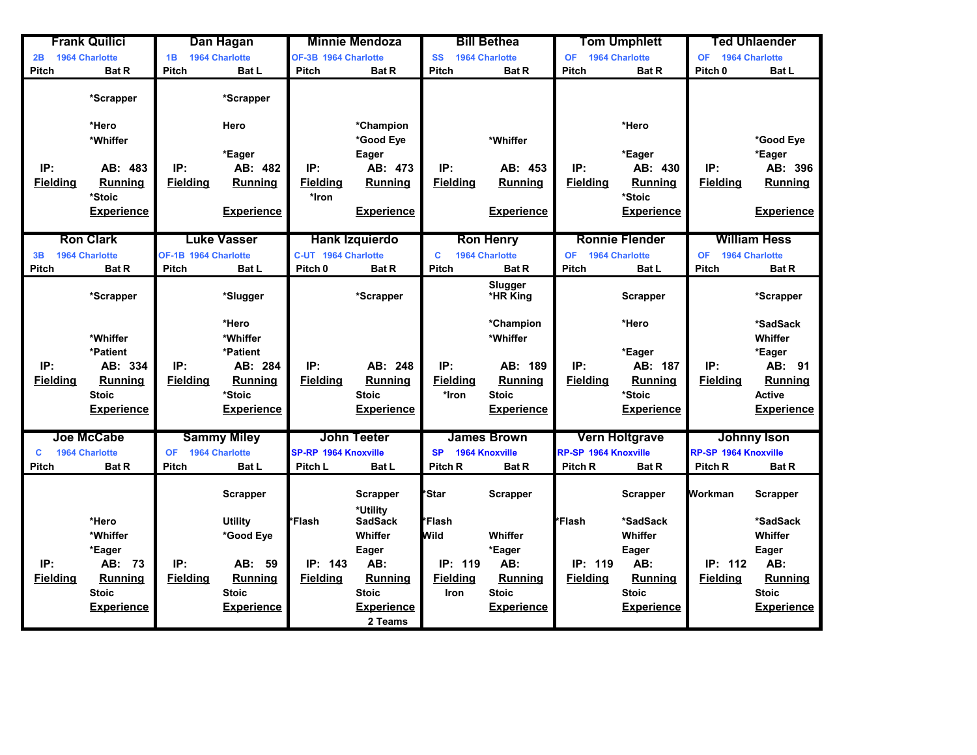|                 | <b>Frank Quilici</b>  |                      | Dan Hagan             |                             | <b>Minnie Mendoza</b>       |                    | <b>Bill Bethea</b>    |                             | <b>Tom Umphlett</b>   |                      | Ted Uhlaender         |
|-----------------|-----------------------|----------------------|-----------------------|-----------------------------|-----------------------------|--------------------|-----------------------|-----------------------------|-----------------------|----------------------|-----------------------|
| 2B              | 1964 Charlotte        | 1B                   | 1964 Charlotte        | OF-3B 1964 Charlotte        |                             | <b>SS</b>          | <b>1964 Charlotte</b> | <b>OF</b>                   | 1964 Charlotte        | <b>OF</b>            | <b>1964 Charlotte</b> |
| <b>Pitch</b>    | <b>Bat R</b>          | Pitch                | <b>Bat L</b>          | <b>Pitch</b>                | <b>Bat R</b>                | Pitch              | <b>Bat R</b>          | <b>Pitch</b>                | <b>Bat R</b>          | Pitch <sub>0</sub>   | Bat L                 |
|                 | *Scrapper             |                      | *Scrapper             |                             |                             |                    |                       |                             |                       |                      |                       |
|                 | *Hero                 |                      | Hero                  |                             | *Champion                   |                    |                       |                             | *Hero                 |                      |                       |
|                 | *Whiffer              |                      |                       |                             | *Good Eye                   |                    | *Whiffer              |                             |                       |                      | *Good Eye             |
|                 |                       |                      | *Eager                |                             | Eager                       |                    |                       |                             | *Eager                |                      | *Eager                |
| IP:             | AB: 483               | IP:                  | AB: 482               | IP:                         | AB: 473                     | IP:                | AB: 453               | IP:                         | AB: 430               | IP:                  | AB: 396               |
| <b>Fielding</b> | Running               | <b>Fielding</b>      | <b>Running</b>        | <b>Fielding</b>             | Running                     | <b>Fielding</b>    | <b>Running</b>        | <b>Fielding</b>             | <b>Running</b>        | <b>Fielding</b>      | <b>Running</b>        |
|                 | *Stoic                |                      |                       | *Iron                       |                             |                    |                       |                             | *Stoic                |                      |                       |
|                 | <b>Experience</b>     |                      | <b>Experience</b>     |                             | <b>Experience</b>           |                    | <b>Experience</b>     |                             | <b>Experience</b>     |                      | <b>Experience</b>     |
|                 |                       |                      |                       |                             |                             |                    |                       |                             |                       |                      |                       |
|                 | <b>Ron Clark</b>      |                      | <b>Luke Vasser</b>    |                             | <b>Hank Izquierdo</b>       |                    | <b>Ron Henry</b>      |                             | <b>Ronnie Flender</b> |                      | <b>William Hess</b>   |
| 3B              | <b>1964 Charlotte</b> | OF-1B 1964 Charlotte |                       | C-UT 1964 Charlotte         |                             | C                  | <b>1964 Charlotte</b> | <b>OF</b>                   | <b>1964 Charlotte</b> | <b>OF</b>            | <b>1964 Charlotte</b> |
| <b>Pitch</b>    | <b>Bat R</b>          | <b>Pitch</b>         | <b>Bat L</b>          | Pitch <sub>0</sub>          | <b>Bat R</b>                | <b>Pitch</b>       | <b>Bat R</b>          | <b>Pitch</b>                | <b>Bat L</b>          | <b>Pitch</b>         | <b>Bat R</b>          |
|                 | *Scrapper             |                      | *Slugger              |                             | *Scrapper                   |                    | Slugger<br>*HR King   |                             | <b>Scrapper</b>       |                      | *Scrapper             |
|                 |                       |                      | *Hero                 |                             |                             |                    | *Champion             |                             | *Hero                 |                      | *SadSack              |
|                 | *Whiffer              |                      | *Whiffer              |                             |                             |                    | *Whiffer              |                             |                       |                      | Whiffer               |
|                 | *Patient              |                      | *Patient              |                             |                             |                    |                       |                             | *Eager                |                      | *Eager                |
| IP:             | AB: 334               | IP:                  | AB: 284               | IP:                         | AB: 248                     | IP:                | AB: 189               | IP:                         | AB: 187               | IP:                  | AB: 91                |
| <b>Fielding</b> | <b>Running</b>        | <b>Fielding</b>      | <b>Running</b>        | <b>Fielding</b>             | <b>Running</b>              | <b>Fielding</b>    | <b>Running</b>        | <b>Fielding</b>             | Running               | <b>Fielding</b>      | <b>Running</b>        |
|                 | <b>Stoic</b>          |                      | *Stoic                |                             | <b>Stoic</b>                | *Iron              | <b>Stoic</b>          |                             | *Stoic                |                      | <b>Active</b>         |
|                 | <b>Experience</b>     |                      | <b>Experience</b>     |                             | <b>Experience</b>           |                    | <b>Experience</b>     |                             | <b>Experience</b>     |                      | <b>Experience</b>     |
|                 |                       |                      |                       |                             |                             |                    |                       |                             |                       |                      |                       |
|                 | <b>Joe McCabe</b>     |                      | <b>Sammy Miley</b>    |                             | <b>John Teeter</b>          |                    | <b>James Brown</b>    |                             | <b>Vern Holtgrave</b> |                      | <b>Johnny Ison</b>    |
| C               | <b>1964 Charlotte</b> | <b>OF</b>            | <b>1964 Charlotte</b> | <b>SP-RP 1964 Knoxville</b> |                             | <b>SP</b>          | <b>1964 Knoxville</b> | <b>RP-SP 1964 Knoxville</b> |                       | RP-SP 1964 Knoxville |                       |
| <b>Pitch</b>    | <b>Bat R</b>          | <b>Pitch</b>         | Bat L                 | Pitch L                     | <b>Bat L</b>                | Pitch <sub>R</sub> | <b>Bat R</b>          | Pitch <sub>R</sub>          | <b>Bat R</b>          | Pitch <sub>R</sub>   | <b>Bat R</b>          |
|                 |                       |                      | <b>Scrapper</b>       |                             | <b>Scrapper</b><br>*Utility | *Star              | <b>Scrapper</b>       |                             | <b>Scrapper</b>       | Workman              | Scrapper              |
|                 | *Hero                 |                      | Utility               | <sup>l</sup> *Flash         | <b>SadSack</b>              | *Flash             |                       | *Flash                      | *SadSack              |                      | *SadSack              |
|                 | *Whiffer              |                      | *Good Eye             |                             | Whiffer                     | Mwild              | Whiffer               |                             | Whiffer               |                      | Whiffer               |
|                 | *Eager                |                      |                       |                             | Eager                       |                    | *Eager                |                             | Eager                 |                      | Eager                 |
| IP:             | AB: 73                | IP:                  | AB:<br>59             | IP: 143                     | AB:                         | IP: 119            | AB:                   | IP: 119                     | AB:                   | IP: 112              | AB:                   |
| <b>Fielding</b> | <b>Running</b>        | <b>Fielding</b>      | <b>Running</b>        | <b>Fielding</b>             | <b>Running</b>              | <b>Fielding</b>    | <b>Running</b>        | <b>Fielding</b>             | Running               | Fieldina             | Running               |
|                 | <b>Stoic</b>          |                      | <b>Stoic</b>          |                             | <b>Stoic</b>                | <b>Iron</b>        | <b>Stoic</b>          |                             | <b>Stoic</b>          |                      | <b>Stoic</b>          |
|                 | <b>Experience</b>     |                      | <b>Experience</b>     |                             | <b>Experience</b>           |                    | <b>Experience</b>     |                             | <b>Experience</b>     |                      | <b>Experience</b>     |
|                 |                       |                      |                       |                             | 2 Teams                     |                    |                       |                             |                       |                      |                       |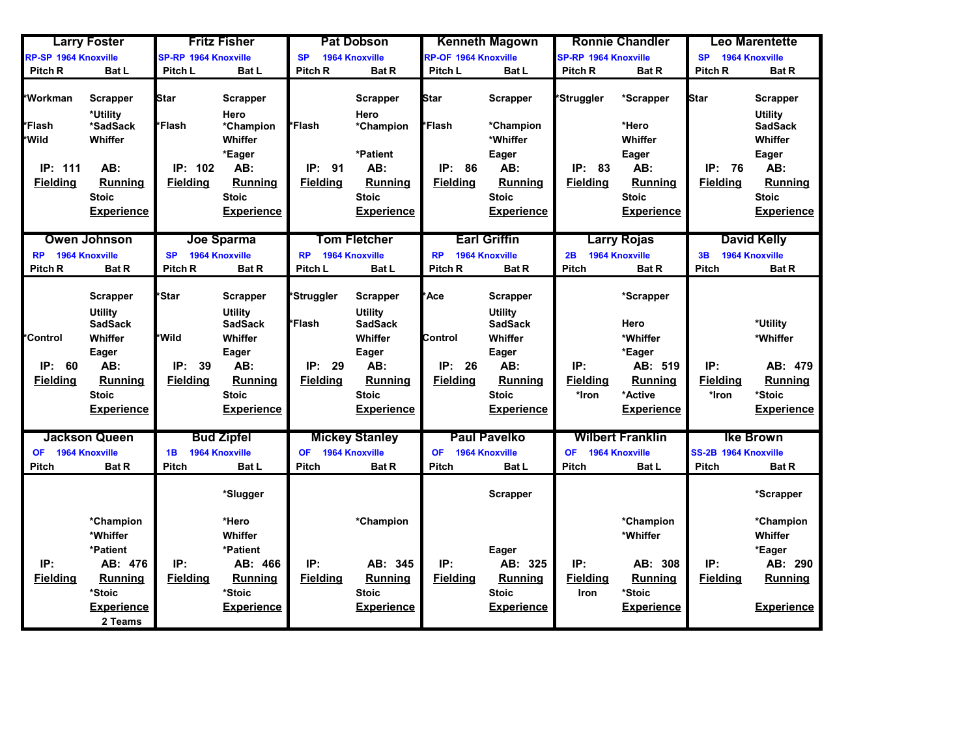|                                             | <b>Larry Foster</b>                                                                                                                   |                                                      | <b>Fritz Fisher</b>                                                                                                                   |                                                      | <b>Pat Dobson</b>                                                                                                              |                                                    | <b>Kenneth Magown</b>                                                                                                                 |                                 | <b>Ronnie Chandler</b>                                                                               |                                      | <b>Leo Marentette</b>                                                            |
|---------------------------------------------|---------------------------------------------------------------------------------------------------------------------------------------|------------------------------------------------------|---------------------------------------------------------------------------------------------------------------------------------------|------------------------------------------------------|--------------------------------------------------------------------------------------------------------------------------------|----------------------------------------------------|---------------------------------------------------------------------------------------------------------------------------------------|---------------------------------|------------------------------------------------------------------------------------------------------|--------------------------------------|----------------------------------------------------------------------------------|
| RP-SP 1964 Knoxville                        |                                                                                                                                       | <b>SP-RP 1964 Knoxville</b>                          |                                                                                                                                       | <b>SP</b>                                            | <b>1964 Knoxville</b>                                                                                                          | <b>RP-OF 1964 Knoxville</b>                        |                                                                                                                                       | <b>SP-RP 1964 Knoxville</b>     |                                                                                                      | <b>SP</b>                            | <b>1964 Knoxville</b>                                                            |
| Pitch <sub>R</sub>                          | <b>Bat L</b>                                                                                                                          | Pitch L                                              | <b>Bat L</b>                                                                                                                          | Pitch R                                              | <b>Bat R</b>                                                                                                                   | Pitch L                                            | <b>Bat L</b>                                                                                                                          | <b>Pitch R</b>                  | <b>Bat R</b>                                                                                         | Pitch R                              | <b>Bat R</b>                                                                     |
| *Workman                                    | <b>Scrapper</b>                                                                                                                       | Star                                                 | <b>Scrapper</b>                                                                                                                       |                                                      | <b>Scrapper</b>                                                                                                                | <b>Star</b>                                        | <b>Scrapper</b>                                                                                                                       | *Struggler                      | *Scrapper                                                                                            | <b>Star</b>                          | Scrapper                                                                         |
| <b>∤*Flash</b><br>*Wild                     | *Utility<br>*SadSack<br>Whiffer                                                                                                       | Flash                                                | Hero<br>*Champion<br>Whiffer                                                                                                          | *Flash                                               | Hero<br>*Champion                                                                                                              | *Flash                                             | *Champion<br>*Whiffer                                                                                                                 |                                 | *Hero<br>Whiffer                                                                                     |                                      | <b>Utility</b><br><b>SadSack</b><br>Whiffer                                      |
| IP: 111                                     | AB:                                                                                                                                   | IP: 102                                              | *Eager<br>AB:                                                                                                                         | IP:<br>91                                            | *Patient<br>AB:                                                                                                                | IP: 86                                             | Eager<br>AB:                                                                                                                          | IP:<br>83                       | Eager<br>AB:                                                                                         | IP: 76                               | Eager<br>AB:                                                                     |
| <b>Fielding</b>                             | <b>Running</b><br><b>Stoic</b><br><b>Experience</b>                                                                                   | <b>Fielding</b>                                      | <b>Running</b><br><b>Stoic</b><br><b>Experience</b>                                                                                   | <b>Fielding</b>                                      | <b>Running</b><br><b>Stoic</b><br><b>Experience</b>                                                                            | <b>Fielding</b>                                    | <b>Running</b><br><b>Stoic</b><br><b>Experience</b>                                                                                   | <b>Fielding</b>                 | <b>Running</b><br><b>Stoic</b><br><b>Experience</b>                                                  | <b>Fielding</b>                      | Running<br><b>Stoic</b><br><b>Experience</b>                                     |
| <b>RP</b>                                   | <b>Owen Johnson</b><br><b>1964 Knoxville</b>                                                                                          | <b>SP</b>                                            | Joe Sparma<br>1964 Knoxville                                                                                                          | <b>RP</b>                                            | <b>Tom Fletcher</b><br>1964 Knoxville                                                                                          | <b>RP</b>                                          | <b>Earl Griffin</b><br>1964 Knoxville                                                                                                 | 2B                              | <b>Larry Rojas</b><br><b>1964 Knoxville</b>                                                          | 3B                                   | <b>David Kelly</b><br>1964 Knoxville                                             |
| Pitch <sub>R</sub>                          | <b>Bat R</b>                                                                                                                          | Pitch <sub>R</sub>                                   | <b>Bat R</b>                                                                                                                          | Pitch L                                              | Bat L                                                                                                                          | Pitch <sub>R</sub>                                 | <b>Bat R</b>                                                                                                                          | <b>Pitch</b>                    | <b>Bat R</b>                                                                                         | Pitch                                | <b>Bat R</b>                                                                     |
| <b>Control</b><br>IP: 60<br><b>Fielding</b> | <b>Scrapper</b><br><b>Utility</b><br><b>SadSack</b><br>Whiffer<br>Eager<br>AB:<br><b>Running</b><br><b>Stoic</b><br><b>Experience</b> | 'Star<br><b>Wild</b><br>IP:<br>39<br><b>Fielding</b> | <b>Scrapper</b><br><b>Utility</b><br><b>SadSack</b><br>Whiffer<br>Eager<br>AB:<br><b>Running</b><br><b>Stoic</b><br><b>Experience</b> | *Struggler<br>*Flash<br>IP:<br>29<br><b>Fielding</b> | Scrapper<br><b>Utility</b><br><b>SadSack</b><br>Whiffer<br>Eager<br>AB:<br><b>Running</b><br><b>Stoic</b><br><b>Experience</b> | <b>Ace</b><br>Control<br>IP: 26<br><b>Fielding</b> | <b>Scrapper</b><br><b>Utility</b><br><b>SadSack</b><br>Whiffer<br>Eager<br>AB:<br><b>Running</b><br><b>Stoic</b><br><b>Experience</b> | IP:<br><b>Fielding</b><br>*Iron | *Scrapper<br>Hero<br>*Whiffer<br>*Eager<br>AB: 519<br><b>Running</b><br>*Active<br><b>Experience</b> | IP:<br><b>Fielding</b><br>*Iron      | *Utility<br>*Whiffer<br>AB: 479<br>Running<br>*Stoic<br><b>Experience</b>        |
| <b>OF</b><br><b>Pitch</b>                   | <b>Jackson Queen</b><br><b>1964 Knoxville</b><br><b>Bat R</b>                                                                         | 1B<br><b>Pitch</b>                                   | <b>Bud Zipfel</b><br><b>1964 Knoxville</b><br><b>Bat L</b>                                                                            | <b>OF</b><br><b>Pitch</b>                            | <b>Mickey Stanley</b><br><b>1964 Knoxville</b><br><b>Bat R</b>                                                                 | <b>OF</b><br>Pitch                                 | <b>Paul Pavelko</b><br><b>1964 Knoxville</b><br><b>Bat L</b>                                                                          | <b>OF</b><br>Pitch              | <b>Wilbert Franklin</b><br><b>1964 Knoxville</b><br><b>Bat L</b>                                     | SS-2B 1964 Knoxville<br><b>Pitch</b> | <b>Ike Brown</b><br><b>Bat R</b>                                                 |
|                                             |                                                                                                                                       |                                                      | *Slugger                                                                                                                              |                                                      |                                                                                                                                |                                                    | <b>Scrapper</b>                                                                                                                       |                                 |                                                                                                      |                                      | *Scrapper                                                                        |
| IP:<br><b>Fielding</b>                      | *Champion<br>*Whiffer<br>*Patient<br>AB: 476<br><b>Running</b><br>*Stoic<br><b>Experience</b><br>2 Teams                              | IP:<br><b>Fielding</b>                               | *Hero<br>Whiffer<br>*Patient<br>AB: 466<br>Running<br>*Stoic<br><b>Experience</b>                                                     | IP:<br><b>Fielding</b>                               | *Champion<br>AB: 345<br><b>Running</b><br><b>Stoic</b><br><b>Experience</b>                                                    | IP:<br><b>Fielding</b>                             | Eager<br>AB: 325<br><b>Running</b><br><b>Stoic</b><br><b>Experience</b>                                                               | IP:<br><b>Fielding</b><br>Iron  | *Champion<br>*Whiffer<br>AB: 308<br><b>Running</b><br>*Stoic<br><b>Experience</b>                    | IP:<br><b>Fielding</b>               | *Champion<br>Whiffer<br>*Eager<br>AB: 290<br><b>Running</b><br><b>Experience</b> |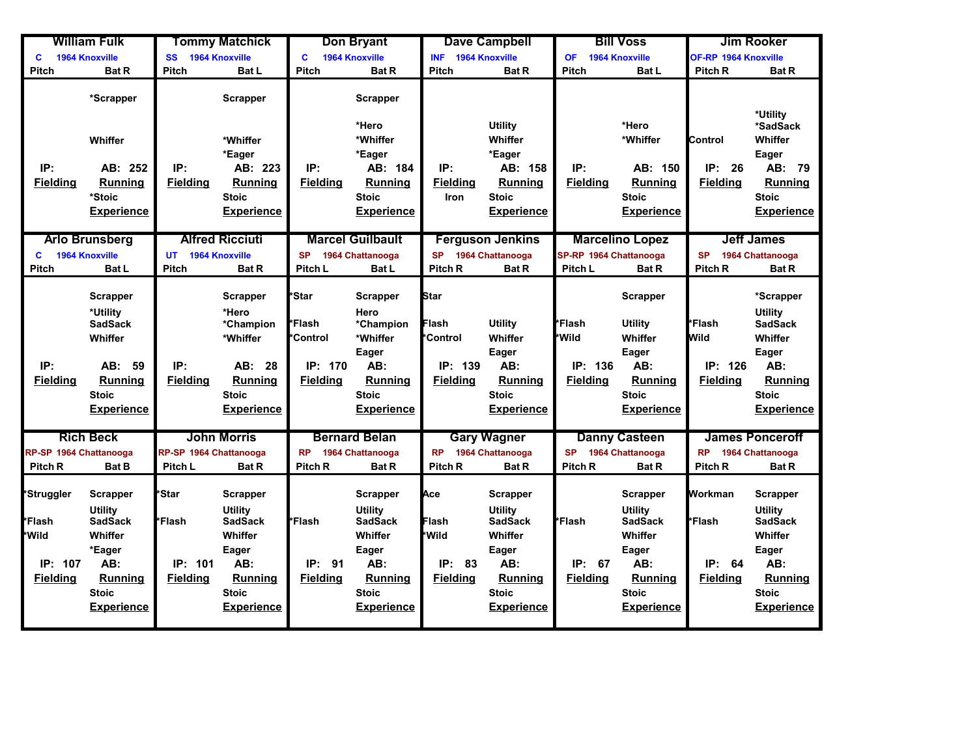|                                                             | <b>William Fulk</b>                                                                                                       |                                                      | <b>Tommy Matchick</b>                                                                                                                 |                                                           | <b>Don Bryant</b>                                                                                                              |                                                                      | <b>Dave Campbell</b>                                                                                                           |                                               | <b>Bill Voss</b>                                                                                          |                                                | <b>Jim Rooker</b>                                                                                                              |
|-------------------------------------------------------------|---------------------------------------------------------------------------------------------------------------------------|------------------------------------------------------|---------------------------------------------------------------------------------------------------------------------------------------|-----------------------------------------------------------|--------------------------------------------------------------------------------------------------------------------------------|----------------------------------------------------------------------|--------------------------------------------------------------------------------------------------------------------------------|-----------------------------------------------|-----------------------------------------------------------------------------------------------------------|------------------------------------------------|--------------------------------------------------------------------------------------------------------------------------------|
| C                                                           | <b>1964 Knoxville</b>                                                                                                     | SS                                                   | 1964 Knoxville                                                                                                                        | C                                                         | <b>1964 Knoxville</b>                                                                                                          | <b>INF</b>                                                           | <b>1964 Knoxville</b>                                                                                                          | <b>OF</b>                                     | <b>1964 Knoxville</b>                                                                                     | <b>OF-RP 1964 Knoxville</b>                    |                                                                                                                                |
| <b>Pitch</b>                                                | <b>Bat R</b>                                                                                                              | <b>Pitch</b>                                         | <b>Bat L</b>                                                                                                                          | <b>Pitch</b>                                              | <b>Bat R</b>                                                                                                                   | <b>Pitch</b>                                                         | <b>Bat R</b>                                                                                                                   | <b>Pitch</b>                                  | <b>Bat L</b>                                                                                              | Pitch R                                        | <b>Bat R</b>                                                                                                                   |
|                                                             | *Scrapper                                                                                                                 |                                                      | <b>Scrapper</b>                                                                                                                       |                                                           | <b>Scrapper</b><br>*Hero                                                                                                       |                                                                      | <b>Utility</b>                                                                                                                 |                                               | *Hero                                                                                                     |                                                | *Utility<br>*SadSack                                                                                                           |
|                                                             | Whiffer                                                                                                                   |                                                      | *Whiffer                                                                                                                              |                                                           | *Whiffer                                                                                                                       |                                                                      | Whiffer                                                                                                                        |                                               | *Whiffer                                                                                                  | <b>Control</b>                                 | Whiffer                                                                                                                        |
| IP:<br><b>Fielding</b>                                      | AB: 252<br>Running<br>*Stoic<br><b>Experience</b>                                                                         | IP:<br><b>Fielding</b>                               | *Eager<br>AB: 223<br><b>Running</b><br><b>Stoic</b><br><b>Experience</b>                                                              | IP:<br><b>Fielding</b>                                    | *Eager<br>AB: 184<br><b>Running</b><br><b>Stoic</b><br><b>Experience</b>                                                       | IP:<br><b>Fielding</b><br><b>Iron</b>                                | *Eager<br>AB: 158<br>Running<br><b>Stoic</b><br><b>Experience</b>                                                              | IP:<br><b>Fielding</b>                        | AB: 150<br><b>Running</b><br><b>Stoic</b><br><b>Experience</b>                                            | IP:<br>26<br><b>Fielding</b>                   | Eager<br>AB:<br>- 79<br><b>Running</b><br><b>Stoic</b><br><b>Experience</b>                                                    |
|                                                             | <b>Arlo Brunsberg</b>                                                                                                     |                                                      | <b>Alfred Ricciuti</b>                                                                                                                |                                                           | <b>Marcel Guilbault</b>                                                                                                        |                                                                      | <b>Ferguson Jenkins</b>                                                                                                        |                                               | <b>Marcelino Lopez</b>                                                                                    |                                                | <b>Jeff James</b>                                                                                                              |
| c                                                           | <b>1964 Knoxville</b>                                                                                                     | <b>UT</b>                                            | 1964 Knoxville                                                                                                                        | <b>SP</b>                                                 | 1964 Chattanooga                                                                                                               | <b>SP</b>                                                            | 1964 Chattanooga                                                                                                               | SP-RP 1964 Chattanooga                        |                                                                                                           | <b>SP</b>                                      | 1964 Chattanooga                                                                                                               |
| <b>Pitch</b>                                                | <b>Bat L</b>                                                                                                              | <b>Pitch</b>                                         | <b>Bat R</b>                                                                                                                          | Pitch L                                                   | <b>Bat L</b>                                                                                                                   | Pitch <sub>R</sub>                                                   | <b>Bat R</b>                                                                                                                   | Pitch L                                       | <b>Bat R</b>                                                                                              | Pitch R                                        | <b>Bat R</b>                                                                                                                   |
| IP:<br><b>Fielding</b>                                      | <b>Scrapper</b><br>*Utility<br><b>SadSack</b><br>Whiffer<br>AB: 59<br><b>Running</b><br><b>Stoic</b><br><b>Experience</b> | IP:<br><b>Fielding</b>                               | <b>Scrapper</b><br>*Hero<br>*Champion<br>*Whiffer<br>AB: 28<br>Running<br><b>Stoic</b><br><b>Experience</b>                           | *Star<br>*Flash<br>*Control<br>IP: 170<br><b>Fielding</b> | <b>Scrapper</b><br>Hero<br>*Champion<br>*Whiffer<br>Eager<br>AB:<br><b>Running</b><br><b>Stoic</b><br><b>Experience</b>        | <b>Star</b><br>Flash<br><b>Control</b><br>IP: 139<br><b>Fielding</b> | <b>Utility</b><br>Whiffer<br>Eager<br>AB:<br>Running<br><b>Stoic</b><br><b>Experience</b>                                      | *Flash<br>*Wild<br>IP: 136<br><b>Fielding</b> | Scrapper<br><b>Utility</b><br>Whiffer<br>Eager<br>AB:<br><b>Running</b><br>Stoic<br><b>Experience</b>     | *Flash<br>Wild<br>IP: 126<br><b>Fielding</b>   | *Scrapper<br><b>Utility</b><br><b>SadSack</b><br>Whiffer<br>Eager<br>AB:<br>Running<br><b>Stoic</b><br><b>Experience</b>       |
|                                                             | <b>Rich Beck</b>                                                                                                          |                                                      | <b>John Morris</b>                                                                                                                    |                                                           | <b>Bernard Belan</b>                                                                                                           |                                                                      | <b>Gary Wagner</b>                                                                                                             |                                               | <b>Danny Casteen</b>                                                                                      |                                                | <b>James Ponceroff</b>                                                                                                         |
| RP-SP 1964 Chattanooga                                      |                                                                                                                           | RP-SP 1964 Chattanooga                               |                                                                                                                                       | <b>RP</b>                                                 | 1964 Chattanooga                                                                                                               | <b>RP</b>                                                            | 1964 Chattanooga                                                                                                               | <b>SP</b>                                     | 1964 Chattanooga                                                                                          | <b>RP</b>                                      | 1964 Chattanooga                                                                                                               |
| Pitch <sub>R</sub>                                          | <b>Bat B</b>                                                                                                              | Pitch L                                              | <b>Bat R</b>                                                                                                                          | Pitch <sub>R</sub>                                        | <b>Bat R</b>                                                                                                                   | Pitch <sub>R</sub>                                                   | <b>Bat R</b>                                                                                                                   | Pitch R                                       | <b>Bat R</b>                                                                                              | Pitch <sub>R</sub>                             | <b>Bat R</b>                                                                                                                   |
| *Struggler<br>*Flash<br>*Wild<br>IP: 107<br><b>Fielding</b> | <b>Scrapper</b><br>Utility<br><b>SadSack</b><br>Whiffer<br>*Eager<br>AB:<br>Running<br><b>Stoic</b><br><b>Experience</b>  | *Star<br><b>*Flash</b><br>IP: 101<br><b>Fielding</b> | <b>Scrapper</b><br><b>Utility</b><br><b>SadSack</b><br>Whiffer<br>Eager<br>AB:<br><b>Running</b><br><b>Stoic</b><br><b>Experience</b> | *Flash<br>IP: 91<br><b>Fielding</b>                       | <b>Scrapper</b><br><b>Utility</b><br><b>SadSack</b><br>Whiffer<br>Eager<br>AB:<br>Running<br><b>Stoic</b><br><b>Experience</b> | Ace<br>Flash<br>*Wild<br>IP:<br>83<br><b>Fielding</b>                | Scrapper<br><b>Utility</b><br><b>SadSack</b><br>Whiffer<br>Eager<br>AB:<br><b>Running</b><br><b>Stoic</b><br><b>Experience</b> | <i>l</i> *Flash<br>IP: 67<br><b>Fielding</b>  | Scrapper<br>Utility<br>SadSack<br>Whiffer<br>Eager<br>AB:<br><b>Running</b><br><b>Stoic</b><br>Experience | Workman<br>*Flash<br>IP: 64<br><b>Fielding</b> | <b>Scrapper</b><br><b>Utility</b><br><b>SadSack</b><br>Whiffer<br>Eager<br>AB:<br>Running<br><b>Stoic</b><br><b>Experience</b> |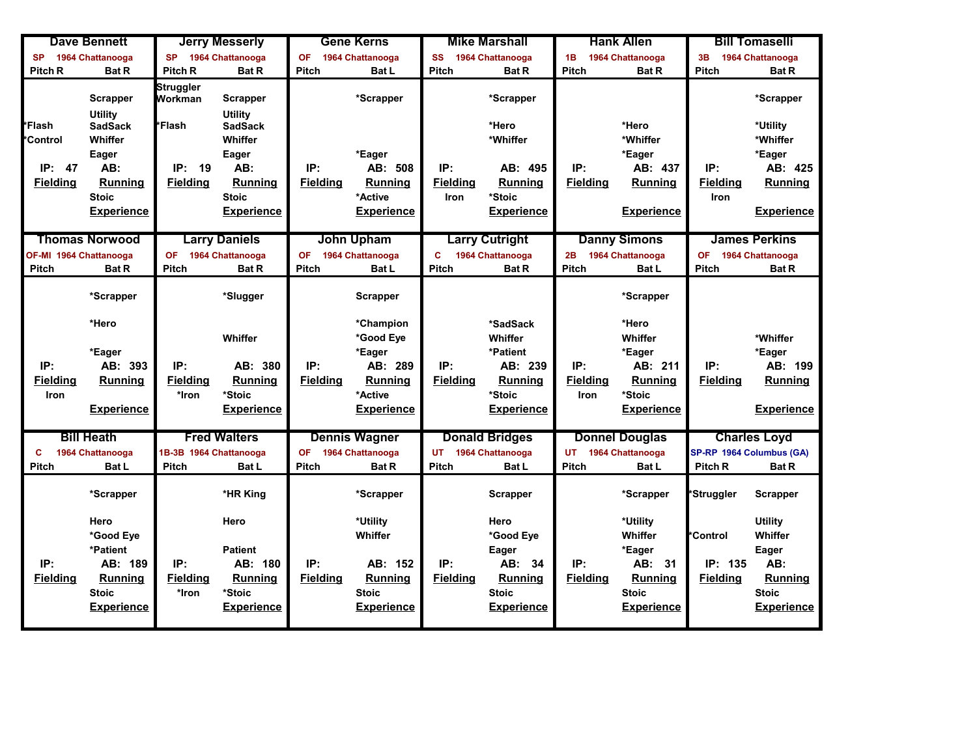|                        | <b>Dave Bennett</b>              |                        | <b>Jerry Messerly</b>            |                 | <b>Gene Kerns</b>    |                 | <b>Mike Marshall</b>  |                 | <b>Hank Allen</b>     |                     | <b>Bill Tomaselli</b>    |
|------------------------|----------------------------------|------------------------|----------------------------------|-----------------|----------------------|-----------------|-----------------------|-----------------|-----------------------|---------------------|--------------------------|
| <b>SP</b>              | 1964 Chattanooga                 | <b>SP</b>              | 1964 Chattanooga                 | <b>OF</b>       | 1964 Chattanooga     | <b>SS</b>       | 1964 Chattanooga      | 1B              | 1964 Chattanooga      | 3B                  | 1964 Chattanooga         |
| Pitch R                | <b>Bat R</b>                     | Pitch <sub>R</sub>     | <b>Bat R</b>                     | <b>Pitch</b>    | <b>Bat L</b>         | Pitch           | <b>Bat R</b>          | Pitch           | <b>Bat R</b>          | <b>Pitch</b>        | <b>Bat R</b>             |
|                        | Scrapper                         | Struggler<br>Workman   | Scrapper                         |                 | *Scrapper            |                 | *Scrapper             |                 |                       |                     | *Scrapper                |
| *Flash                 | <b>Utility</b><br><b>SadSack</b> | <b>*Flash</b>          | <b>Utility</b><br><b>SadSack</b> |                 |                      |                 | *Hero                 |                 | *Hero                 |                     | *Utility                 |
| <b>Control</b>         | Whiffer                          |                        | Whiffer                          |                 |                      |                 | *Whiffer              |                 | *Whiffer              |                     | *Whiffer                 |
|                        | Eager                            |                        | Eager                            |                 | *Eager               |                 |                       |                 | *Eager                |                     | *Eager                   |
| IP:<br>47              | AB:                              | IP:<br>19              | AB:                              | IP:             | AB: 508              | IP:             | AB: 495               | IP:             | AB: 437               | IP:                 | AB: 425                  |
| <b>Fielding</b>        | <b>Running</b>                   | <b>Fielding</b>        | <b>Running</b>                   | <b>Fielding</b> | <b>Running</b>       | <b>Fielding</b> | <b>Running</b>        | <b>Fielding</b> | <b>Running</b>        | <b>Fielding</b>     | <b>Running</b>           |
|                        | <b>Stoic</b>                     |                        | <b>Stoic</b>                     |                 | *Active              | <b>Iron</b>     | *Stoic                |                 |                       | Iron                |                          |
|                        | <b>Experience</b>                |                        | <b>Experience</b>                |                 | <b>Experience</b>    |                 | <b>Experience</b>     |                 | <b>Experience</b>     |                     | <b>Experience</b>        |
|                        | <b>Thomas Norwood</b>            |                        | <b>Larry Daniels</b>             |                 | <b>John Upham</b>    |                 | <b>Larry Cutright</b> |                 | <b>Danny Simons</b>   |                     | <b>James Perkins</b>     |
| OF-MI 1964 Chattanooga |                                  | <b>OF</b>              | 1964 Chattanooga                 | <b>OF</b>       | 1964 Chattanooga     | C               | 1964 Chattanooga      | 2B              | 1964 Chattanooga      | OF 1964 Chattanooga |                          |
| <b>Pitch</b>           | <b>Bat R</b>                     | <b>Pitch</b>           | <b>Bat R</b>                     | Pitch           | <b>Bat L</b>         | <b>Pitch</b>    | <b>Bat R</b>          | <b>Pitch</b>    | <b>Bat L</b>          | <b>Pitch</b>        | <b>Bat R</b>             |
|                        |                                  |                        |                                  |                 |                      |                 |                       |                 |                       |                     |                          |
|                        | *Scrapper                        |                        | *Slugger                         |                 | <b>Scrapper</b>      |                 |                       |                 | *Scrapper             |                     |                          |
|                        | *Hero                            |                        |                                  |                 | *Champion            |                 | *SadSack              |                 | *Hero                 |                     |                          |
|                        |                                  |                        | Whiffer                          |                 | *Good Eye            |                 | Whiffer               |                 | Whiffer               |                     | *Whiffer                 |
|                        | *Eager                           |                        |                                  |                 | *Eager               |                 | *Patient              |                 | *Eager                |                     | *Eager                   |
| IP:                    | AB: 393                          | IP:                    | AB: 380                          | IP:             | AB: 289              | IP:             | AB: 239               | IP:             | AB: 211               | IP:                 | AB: 199                  |
| <b>Fielding</b>        | <b>Running</b>                   | <b>Fielding</b>        | <b>Running</b>                   | <b>Fielding</b> | <b>Running</b>       | <b>Fielding</b> | Running               | <b>Fielding</b> | <b>Running</b>        | <b>Fielding</b>     | <b>Running</b>           |
| Iron                   |                                  | *Iron                  | *Stoic                           |                 | *Active              |                 | *Stoic                | <b>Iron</b>     | *Stoic                |                     |                          |
|                        | <b>Experience</b>                |                        | <b>Experience</b>                |                 | <b>Experience</b>    |                 | <b>Experience</b>     |                 | <b>Experience</b>     |                     | <b>Experience</b>        |
|                        |                                  |                        |                                  |                 |                      |                 |                       |                 |                       |                     |                          |
|                        | <b>Bill Heath</b>                |                        | <b>Fred Walters</b>              |                 | <b>Dennis Wagner</b> |                 | <b>Donald Bridges</b> |                 | <b>Donnel Douglas</b> |                     | <b>Charles Loyd</b>      |
| C                      | 1964 Chattanooga                 | 1B-3B 1964 Chattanooga |                                  | <b>OF</b>       | 1964 Chattanooga     | <b>UT</b>       | 1964 Chattanooga      | <b>UT</b>       | 1964 Chattanooga      |                     | SP-RP 1964 Columbus (GA) |
| Pitch                  | <b>Bat L</b>                     | <b>Pitch</b>           | <b>Bat L</b>                     | <b>Pitch</b>    | <b>Bat R</b>         | <b>Pitch</b>    | <b>Bat L</b>          | <b>Pitch</b>    | <b>Bat L</b>          | Pitch <sub>R</sub>  | <b>Bat R</b>             |
|                        | *Scrapper                        |                        | *HR King                         |                 | *Scrapper            |                 | Scrapper              |                 | *Scrapper             | *Struggler          | <b>Scrapper</b>          |
|                        | Hero                             |                        | Hero                             |                 | *Utility             |                 | Hero                  |                 | *Utility              |                     | <b>Utility</b>           |
|                        | *Good Eye                        |                        |                                  |                 | Whiffer              |                 | *Good Eye             |                 | Whiffer               | *Control            | Whiffer                  |
|                        | *Patient                         |                        | <b>Patient</b>                   |                 |                      |                 | <b>Eager</b>          |                 | *Eager                |                     | Eager                    |
| IP:                    | AB: 189                          | IP:                    | AB: 180                          | IP:             | AB: 152              | IP:             | AB:<br>- 34           | IP:             | AB: 31                | IP: 135             | AB:                      |
| <b>Fielding</b>        | <b>Running</b>                   | <b>Fielding</b>        | Running                          | <b>Fielding</b> | <b>Running</b>       | <b>Fielding</b> | <b>Running</b>        | <b>Fielding</b> | Running               | <b>Fielding</b>     | Running                  |
|                        | <b>Stoic</b>                     | *Iron                  | *Stoic                           |                 | <b>Stoic</b>         |                 | <b>Stoic</b>          |                 | <b>Stoic</b>          |                     | <b>Stoic</b>             |
|                        | <b>Experience</b>                |                        | <b>Experience</b>                |                 | <b>Experience</b>    |                 | <b>Experience</b>     |                 | <b>Experience</b>     |                     | <b>Experience</b>        |
|                        |                                  |                        |                                  |                 |                      |                 |                       |                 |                       |                     |                          |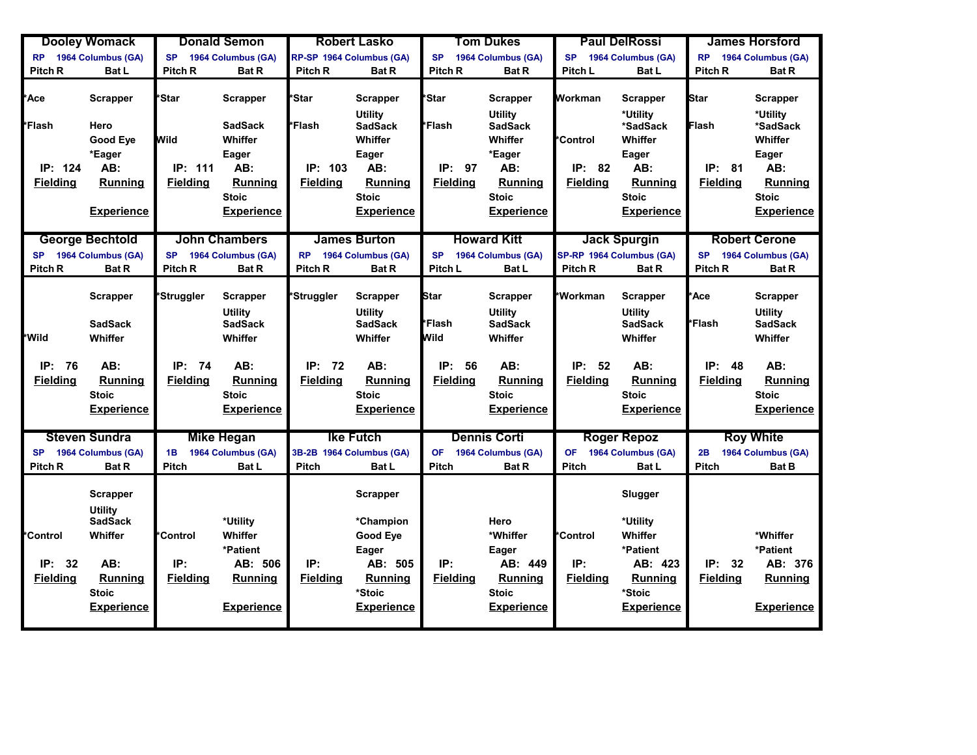|                     | <b>Dooley Womack</b>                                |                    | <b>Donald Semon</b>              |                    | <b>Robert Lasko</b>               |                    | <b>Tom Dukes</b>                  |                    | <b>Paul DelRossi</b>             |                    | <b>James Horsford</b>            |
|---------------------|-----------------------------------------------------|--------------------|----------------------------------|--------------------|-----------------------------------|--------------------|-----------------------------------|--------------------|----------------------------------|--------------------|----------------------------------|
| <b>RP</b>           | 1964 Columbus (GA)                                  | <b>SP</b>          | 1964 Columbus (GA)               |                    | RP-SP 1964 Columbus (GA)          | <b>SP</b>          | 1964 Columbus (GA)                | <b>SP</b>          | 1964 Columbus (GA)               | <b>RP</b>          | 1964 Columbus (GA)               |
| Pitch R             | <b>Bat L</b>                                        | <b>Pitch R</b>     | <b>Bat R</b>                     | <b>Pitch R</b>     | <b>Bat R</b>                      | Pitch <sub>R</sub> | <b>Bat R</b>                      | Pitch L            | Bat L                            | Pitch R            | <b>Bat R</b>                     |
| <b>Ace</b>          | <b>Scrapper</b>                                     | <b><i>Star</i></b> | <b>Scrapper</b>                  | *Star              | <b>Scrapper</b><br><b>Utility</b> | <i><b>Star</b></i> | <b>Scrapper</b><br><b>Utility</b> | Workman            | <b>Scrapper</b><br>*Utility      | <b>Star</b>        | <b>Scrapper</b><br>*Utility      |
| <mark>⊁Flash</mark> | Hero                                                |                    | <b>SadSack</b>                   | *Flash             | <b>SadSack</b>                    | *Flash             | <b>SadSack</b>                    |                    | *SadSack                         | Flash              | *SadSack                         |
|                     | Good Eye                                            | Wild               | Whiffer                          |                    | Whiffer                           |                    | Whiffer                           | *Control           | Whiffer                          |                    | Whiffer                          |
|                     | *Eager                                              |                    | Eager                            |                    | Eager                             |                    | *Eager                            |                    | Eager                            |                    | Eager                            |
| IP: 124             | AB:                                                 | IP: 111            | AB:                              | IP: 103            | AB:                               | IP:<br>97          | AB:                               | IP: 82             | AB:                              | IP: 81             | AB:                              |
| <b>Fielding</b>     | <b>Running</b>                                      | <b>Fielding</b>    | <b>Running</b>                   | <b>Fielding</b>    | Running                           | <b>Fielding</b>    | <b>Running</b>                    | <b>Fielding</b>    | Running                          | <b>Fielding</b>    | <b>Running</b>                   |
|                     |                                                     |                    | <b>Stoic</b>                     |                    | <b>Stoic</b>                      |                    | <b>Stoic</b>                      |                    | <b>Stoic</b>                     |                    | <b>Stoic</b>                     |
|                     | <b>Experience</b>                                   |                    | <b>Experience</b>                |                    | <b>Experience</b>                 |                    | <b>Experience</b>                 |                    | <b>Experience</b>                |                    | <b>Experience</b>                |
|                     |                                                     |                    |                                  |                    |                                   |                    |                                   |                    |                                  |                    |                                  |
|                     | <b>George Bechtold</b>                              |                    | <b>John Chambers</b>             |                    | <b>James Burton</b>               |                    | <b>Howard Kitt</b>                |                    | <b>Jack Spurgin</b>              |                    | <b>Robert Cerone</b>             |
| <b>SP</b>           | 1964 Columbus (GA)                                  | <b>SP</b>          | 1964 Columbus (GA)               | <b>RP</b>          | 1964 Columbus (GA)                | <b>SP</b>          | 1964 Columbus (GA)                |                    | SP-RP 1964 Columbus (GA)         | <b>SP</b>          | 1964 Columbus (GA)               |
| Pitch <sub>R</sub>  | <b>Bat R</b>                                        | Pitch <sub>R</sub> | <b>Bat R</b>                     | Pitch <sub>R</sub> | <b>Bat R</b>                      | Pitch L            | Bat L                             | Pitch <sub>R</sub> | <b>Bat R</b>                     | Pitch <sub>R</sub> | <b>Bat R</b>                     |
|                     | Scrapper                                            | *Struggler         | <b>Scrapper</b>                  | *Struggler         | <b>Scrapper</b>                   | <b>Star</b>        | <b>Scrapper</b>                   | *Workman           | <b>Scrapper</b>                  | *Ace               | <b>Scrapper</b>                  |
|                     | <b>SadSack</b>                                      |                    | <b>Utility</b><br><b>SadSack</b> |                    | <b>Utility</b><br><b>SadSack</b>  | *Flash             | <b>Utility</b><br><b>SadSack</b>  |                    | <b>Utility</b><br><b>SadSack</b> | <i>i</i> *Flash    | <b>Utility</b><br><b>SadSack</b> |
| *Wild               | Whiffer                                             |                    | Whiffer                          |                    | Whiffer                           | Wild               | Whiffer                           |                    | Whiffer                          |                    | Whiffer                          |
|                     |                                                     |                    |                                  |                    |                                   |                    |                                   |                    |                                  |                    |                                  |
| IP:<br>76           | AB:                                                 | IP: 74             | AB:                              | IP: 72             | AB:                               | IP:<br>56          | AB:                               | IP:<br>52          | AB:                              | IP:<br>48          | AB:                              |
| <b>Fielding</b>     | Running                                             | <b>Fielding</b>    | Running                          | <b>Fielding</b>    | Running                           | <b>Fielding</b>    | Running                           | <b>Fielding</b>    | Running                          | <b>Fielding</b>    | Running                          |
|                     | <b>Stoic</b>                                        |                    | <b>Stoic</b>                     |                    | <b>Stoic</b>                      |                    | <b>Stoic</b>                      |                    | <b>Stoic</b>                     |                    | <b>Stoic</b>                     |
|                     | <b>Experience</b>                                   |                    | <b>Experience</b>                |                    | <b>Experience</b>                 |                    | <b>Experience</b>                 |                    | <b>Experience</b>                |                    | <b>Experience</b>                |
|                     |                                                     |                    |                                  |                    |                                   |                    |                                   |                    |                                  |                    |                                  |
|                     | <b>Steven Sundra</b>                                |                    | <b>Mike Hegan</b>                |                    | <b>Ike Futch</b>                  |                    | <b>Dennis Corti</b>               |                    | <b>Roger Repoz</b>               |                    | <b>Roy White</b>                 |
| <b>SP</b>           | 1964 Columbus (GA)                                  | 1B                 | 1964 Columbus (GA)               |                    | 3B-2B 1964 Columbus (GA)          | <b>OF</b>          | 1964 Columbus (GA)                | <b>OF</b>          | 1964 Columbus (GA)               | 2B                 | 1964 Columbus (GA)               |
| Pitch R             | <b>Bat R</b>                                        | <b>Pitch</b>       | <b>Bat L</b>                     | Pitch              | <b>Bat L</b>                      | <b>Pitch</b>       | <b>Bat R</b>                      | <b>Pitch</b>       | Bat L                            | <b>Pitch</b>       | <b>Bat B</b>                     |
|                     | <b>Scrapper</b><br><b>Utility</b><br><b>SadSack</b> |                    | *Utility                         |                    | <b>Scrapper</b><br>*Champion      |                    | Hero                              |                    | Slugger<br>*Utility              |                    |                                  |
| *Control            | Whiffer                                             | *Control           | Whiffer                          |                    | Good Eye                          |                    | *Whiffer                          | *Control           | Whiffer                          |                    | *Whiffer                         |
|                     |                                                     |                    | *Patient                         |                    | Eager                             |                    | Eager                             |                    | *Patient                         |                    | *Patient                         |
| IP:<br>32           | AB:                                                 | IP:                | AB: 506                          | IP:                | AB: 505                           | IP:                | AB: 449                           | IP:                | AB: 423                          | IP:<br>32          | AB: 376                          |
| <b>Fielding</b>     | <b>Running</b>                                      | <b>Fielding</b>    | <b>Running</b>                   | <b>Fielding</b>    | <b>Running</b>                    | <b>Fielding</b>    | <b>Running</b>                    | <b>Fielding</b>    | Running                          | <b>Fielding</b>    | <b>Running</b>                   |
|                     | <b>Stoic</b>                                        |                    |                                  |                    | *Stoic                            |                    | <b>Stoic</b>                      |                    | *Stoic                           |                    |                                  |
|                     | <b>Experience</b>                                   |                    | <b>Experience</b>                |                    | <b>Experience</b>                 |                    | <b>Experience</b>                 |                    | <b>Experience</b>                |                    | <b>Experience</b>                |
|                     |                                                     |                    |                                  |                    |                                   |                    |                                   |                    |                                  |                    |                                  |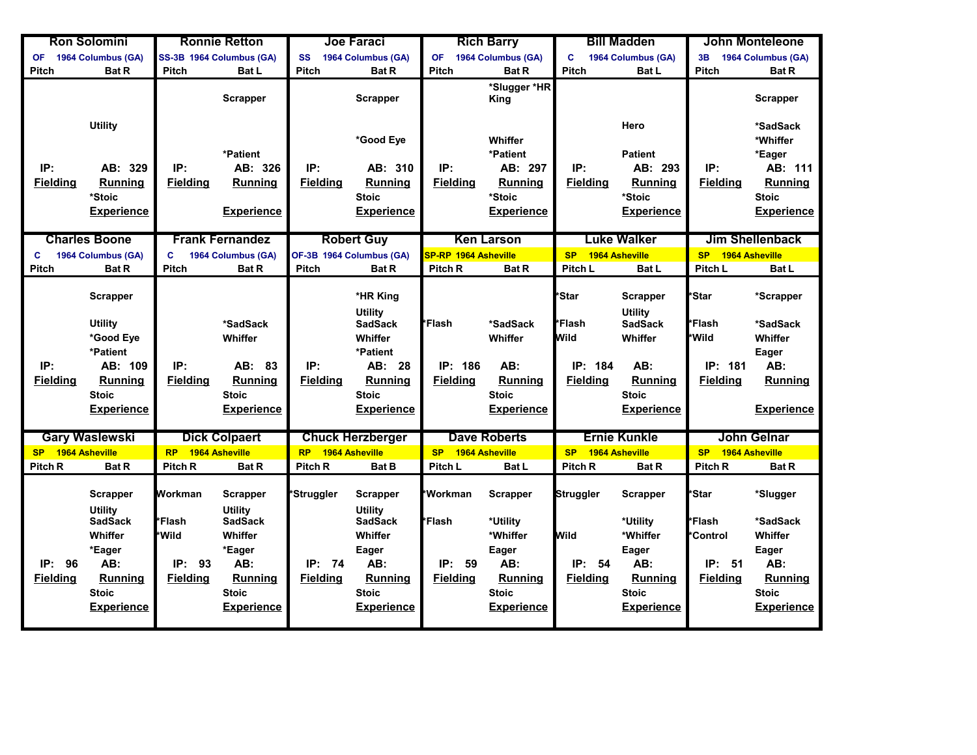|                    | <b>Ron Solomini</b>                          |                    | <b>Ronnie Retton</b>                                |                 | <b>Joe Faraci</b>                            |                             | <b>Rich Barry</b>    |                 | <b>Bill Madden</b>                |                    | <b>John Monteleone</b> |
|--------------------|----------------------------------------------|--------------------|-----------------------------------------------------|-----------------|----------------------------------------------|-----------------------------|----------------------|-----------------|-----------------------------------|--------------------|------------------------|
| <b>OF</b>          | 1964 Columbus (GA)                           |                    | SS-3B 1964 Columbus (GA)                            | SS              | 1964 Columbus (GA)                           | <b>OF</b>                   | 1964 Columbus (GA)   | C               | 1964 Columbus (GA)                | 3B                 | 1964 Columbus (GA)     |
| <b>Pitch</b>       | <b>Bat R</b>                                 | Pitch              | <b>Bat L</b>                                        | Pitch           | <b>Bat R</b>                                 | Pitch                       | <b>Bat R</b>         | Pitch           | Bat L                             | <b>Pitch</b>       | <b>Bat R</b>           |
|                    |                                              |                    | <b>Scrapper</b>                                     |                 | <b>Scrapper</b>                              |                             | *Slugger *HR<br>King |                 |                                   |                    | <b>Scrapper</b>        |
|                    | <b>Utility</b>                               |                    |                                                     |                 | *Good Eye                                    |                             | Whiffer              |                 | Hero                              |                    | *SadSack<br>*Whiffer   |
|                    |                                              |                    | *Patient                                            |                 |                                              |                             | *Patient             |                 | <b>Patient</b>                    |                    | *Eager                 |
| IP:                | AB: 329                                      | IP:                | AB: 326                                             | IP:             | AB: 310                                      | IP:                         | AB: 297              | IP:             | AB: 293                           | IP:                | AB: 111                |
| <b>Fielding</b>    | Running                                      | <b>Fielding</b>    | Running                                             | <b>Fielding</b> | <b>Running</b>                               | <b>Fielding</b>             | <b>Running</b>       | <b>Fielding</b> | <b>Running</b>                    | <b>Fielding</b>    | <b>Running</b>         |
|                    | *Stoic                                       |                    |                                                     |                 | <b>Stoic</b>                                 |                             | *Stoic               |                 | *Stoic                            |                    | <b>Stoic</b>           |
|                    | <b>Experience</b>                            |                    | <b>Experience</b>                                   |                 | <b>Experience</b>                            |                             | <b>Experience</b>    |                 | <b>Experience</b>                 |                    | <b>Experience</b>      |
|                    |                                              |                    |                                                     |                 |                                              |                             |                      |                 |                                   |                    |                        |
|                    | <b>Charles Boone</b>                         |                    | <b>Frank Fernandez</b>                              |                 | <b>Robert Guy</b>                            |                             | <b>Ken Larson</b>    |                 | <b>Luke Walker</b>                |                    | <b>Jim Shellenback</b> |
| C                  | 1964 Columbus (GA)                           | C                  | 1964 Columbus (GA)                                  |                 | OF-3B 1964 Columbus (GA)                     | <b>SP-RP 1964 Asheville</b> |                      | <b>SP</b>       | <b>1964 Asheville</b>             | <b>SP</b>          | 1964 Asheville         |
| <b>Pitch</b>       | <b>Bat R</b>                                 | <b>Pitch</b>       | <b>Bat R</b>                                        | <b>Pitch</b>    | <b>Bat R</b>                                 | Pitch <sub>R</sub>          | <b>Bat R</b>         | Pitch L         | <b>Bat L</b>                      | Pitch L            | <b>Bat L</b>           |
|                    | <b>Scrapper</b>                              |                    |                                                     |                 | *HR King<br><b>Utility</b>                   |                             |                      | *Star           | <b>Scrapper</b><br><b>Utility</b> | *Star              | *Scrapper              |
|                    | <b>Utility</b>                               |                    | *SadSack                                            |                 | <b>SadSack</b>                               | *Flash                      | *SadSack             | *Flash          | <b>SadSack</b>                    | <b>Flash</b>       | *SadSack               |
|                    | *Good Eye                                    |                    | Whiffer                                             |                 | Whiffer                                      |                             | Whiffer              | <b>M</b> ild    | Whiffer                           | *Wild              | Whiffer                |
|                    | *Patient                                     |                    |                                                     |                 | *Patient                                     |                             |                      |                 |                                   |                    | Eager                  |
| IP:                | AB: 109                                      | IP:                | AB:<br>- 83                                         | IP:             | AB: 28                                       | IP: 186                     | AB:                  | IP: 184         | AB:                               | IP: 181            | AB:                    |
| <b>Fielding</b>    | <b>Running</b>                               | <b>Fielding</b>    | Running                                             | <b>Fielding</b> | <b>Running</b>                               | <b>Fielding</b>             | Running              | <b>Fielding</b> | <b>Running</b>                    | <b>Fielding</b>    | Running                |
|                    | <b>Stoic</b>                                 |                    | <b>Stoic</b>                                        |                 | <b>Stoic</b>                                 |                             | <b>Stoic</b>         |                 | <b>Stoic</b>                      |                    |                        |
|                    | <b>Experience</b>                            |                    | <b>Experience</b>                                   |                 | <b>Experience</b>                            |                             | <b>Experience</b>    |                 | <b>Experience</b>                 |                    | <b>Experience</b>      |
|                    |                                              |                    |                                                     |                 |                                              |                             |                      |                 |                                   |                    |                        |
|                    | <b>Gary Waslewski</b>                        |                    | <b>Dick Colpaert</b>                                |                 | <b>Chuck Herzberger</b>                      |                             | <b>Dave Roberts</b>  |                 | <b>Ernie Kunkle</b>               |                    | <b>John Gelnar</b>     |
| SP 1964 Asheville  |                                              | <b>RP</b>          | 1964 Asheville                                      | <b>RP</b>       | 1964 Asheville                               | <b>SP</b>                   | 1964 Asheville       | <b>SP</b>       | 1964 Asheville                    | <b>SP</b>          | 1964 Asheville         |
| Pitch <sub>R</sub> | <b>Bat R</b>                                 | Pitch <sub>R</sub> | <b>Bat R</b>                                        | <b>Pitch R</b>  | <b>Bat B</b>                                 | Pitch L                     | <b>Bat L</b>         | <b>Pitch R</b>  | <b>Bat R</b>                      | Pitch <sub>R</sub> | <b>Bat R</b>           |
|                    | <b>Scrapper</b><br>Utility<br><b>SadSack</b> | Workman<br>*Flash  | <b>Scrapper</b><br><b>Utility</b><br><b>SadSack</b> | *Struggler      | Scrapper<br><b>Utility</b><br><b>SadSack</b> | *Workman<br>*Flash          | Scrapper<br>*Utility | Struggler       | <b>Scrapper</b><br>*Utility       | 'Star<br>*Flash    | *Slugger<br>*SadSack   |
|                    | Whiffer                                      | *Wild              | Whiffer                                             |                 | Whiffer                                      |                             | *Whiffer             | Wild            | *Whiffer                          | <b>Control</b>     | Whiffer                |
|                    | *Eager                                       |                    | *Eager                                              |                 | Eager                                        |                             | Eager                |                 | Eager                             |                    | Eager                  |
| IP: 96             | AB:                                          | IP: 93             | AB:                                                 | IP:<br>74       | AB:                                          | IP:<br>- 59                 | AB:                  | IP: 54          | AB:                               | IP: 51             | AB:                    |
| <b>Fielding</b>    | <b>Running</b>                               | <b>Fielding</b>    | Running                                             | <b>Fielding</b> | Running                                      | <b>Fielding</b>             | Running              | <b>Fielding</b> | Running                           | <b>Fielding</b>    | <b>Running</b>         |
|                    | <b>Stoic</b>                                 |                    | <b>Stoic</b>                                        |                 | <b>Stoic</b>                                 |                             | <b>Stoic</b>         |                 | <b>Stoic</b>                      |                    | <b>Stoic</b>           |
|                    | <b>Experience</b>                            |                    | <b>Experience</b>                                   |                 | <b>Experience</b>                            |                             | <b>Experience</b>    |                 | <b>Experience</b>                 |                    | <b>Experience</b>      |
|                    |                                              |                    |                                                     |                 |                                              |                             |                      |                 |                                   |                    |                        |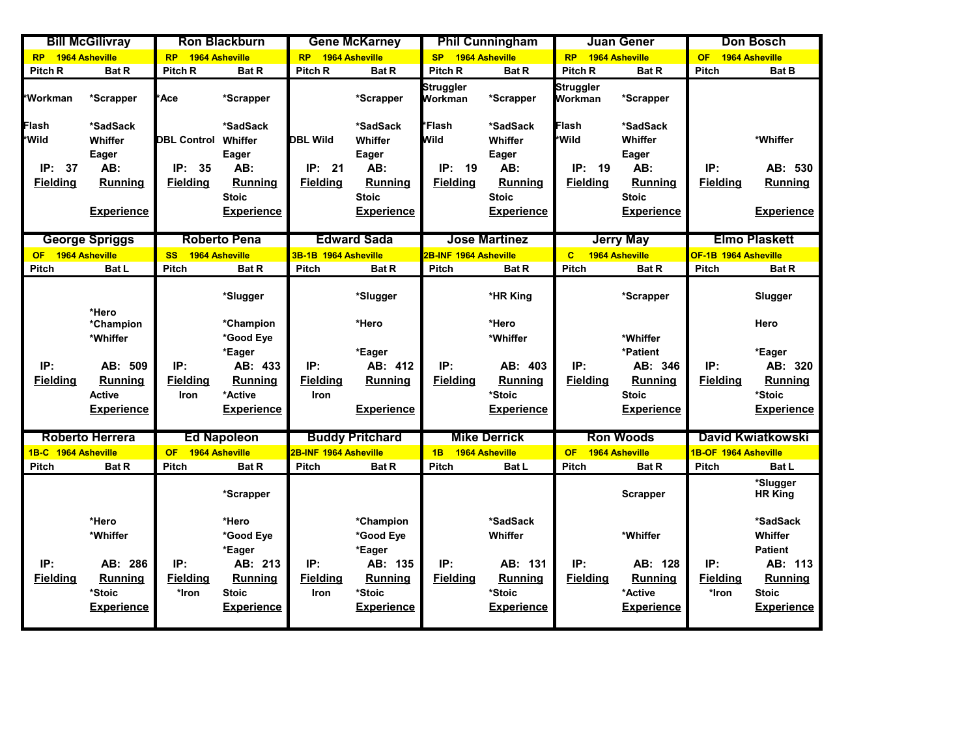|                                                | <b>Bill McGilivray</b>                                                        |                                                    | <b>Ron Blackburn</b>                                                                           |                                                 | <b>Gene McKarney</b>                                                                         |                                                | <b>Phil Cunningham</b>                                                   |                                                | <b>Juan Gener</b>                                                     |                                 | <b>Don Bosch</b>                                                                                        |
|------------------------------------------------|-------------------------------------------------------------------------------|----------------------------------------------------|------------------------------------------------------------------------------------------------|-------------------------------------------------|----------------------------------------------------------------------------------------------|------------------------------------------------|--------------------------------------------------------------------------|------------------------------------------------|-----------------------------------------------------------------------|---------------------------------|---------------------------------------------------------------------------------------------------------|
| <b>RP</b>                                      | 1964 Asheville                                                                | <b>RP</b>                                          | 1964 Asheville                                                                                 | <b>RP</b>                                       | 1964 Asheville                                                                               | <b>SP</b>                                      | 1964 Asheville                                                           | <b>RP</b>                                      | 1964 Asheville                                                        | <b>OF</b>                       | 1964 Asheville                                                                                          |
| Pitch R                                        | <b>Bat R</b>                                                                  | Pitch <sub>R</sub>                                 | <b>Bat R</b>                                                                                   | Pitch R                                         | <b>Bat R</b>                                                                                 | Pitch R                                        | <b>Bat R</b>                                                             | Pitch R                                        | <b>Bat R</b>                                                          | <b>Pitch</b>                    | <b>Bat B</b>                                                                                            |
| *Workman                                       | *Scrapper                                                                     | 'Ace                                               | *Scrapper                                                                                      |                                                 | *Scrapper                                                                                    | Struggler<br>Workman                           | *Scrapper                                                                | Struggler<br>Workman                           | *Scrapper                                                             |                                 |                                                                                                         |
| Flash<br>*Wild<br>IP:<br>37<br><b>Fielding</b> | *SadSack<br>Whiffer<br>Eager<br>AB:<br>Running                                | <b>DBL Control</b><br>IP:<br>35<br><b>Fielding</b> | *SadSack<br>Whiffer<br>Eager<br>AB:<br><b>Running</b><br><b>Stoic</b>                          | <b>DBL Wild</b><br>IP:<br>21<br><b>Fielding</b> | *SadSack<br>Whiffer<br>Eager<br>AB:<br>Runnina<br><b>Stoic</b>                               | *Flash<br>Wild<br>IP:<br>19<br><b>Fielding</b> | *SadSack<br>Whiffer<br>Eager<br>AB:<br>Runnina<br><b>Stoic</b>           | Flash<br>*Wild<br>IP:<br>19<br><b>Fielding</b> | *SadSack<br>Whiffer<br>Eager<br>AB:<br><b>Running</b><br><b>Stoic</b> | IP:<br><b>Fielding</b>          | *Whiffer<br>AB: 530<br><b>Running</b>                                                                   |
|                                                | <b>Experience</b>                                                             |                                                    | <b>Experience</b>                                                                              |                                                 | <b>Experience</b>                                                                            |                                                | <b>Experience</b>                                                        |                                                | <b>Experience</b>                                                     |                                 | <b>Experience</b>                                                                                       |
|                                                | <b>George Spriggs</b>                                                         |                                                    | <b>Roberto Pena</b>                                                                            |                                                 | <b>Edward Sada</b>                                                                           |                                                | <b>Jose Martinez</b>                                                     |                                                | <b>Jerry May</b>                                                      |                                 | <b>Elmo Plaskett</b>                                                                                    |
| OF.                                            | 1964 Asheville                                                                | <b>SS</b>                                          | 1964 Asheville                                                                                 | 3B-1B 1964 Asheville                            |                                                                                              | <b>2B-INF 1964 Asheville</b>                   |                                                                          | $\mathbf{C}$                                   | 1964 Asheville                                                        | OF-1B 1964 Asheville            |                                                                                                         |
| <b>Pitch</b>                                   | <b>Bat L</b>                                                                  | <b>Pitch</b>                                       | <b>Bat R</b>                                                                                   | <b>Pitch</b>                                    | <b>Bat R</b>                                                                                 | Pitch                                          | <b>Bat R</b>                                                             | <b>Pitch</b>                                   | <b>Bat R</b>                                                          | <b>Pitch</b>                    | <b>Bat R</b>                                                                                            |
|                                                | *Hero<br>*Champion                                                            |                                                    | *Slugger<br>*Champion                                                                          |                                                 | *Slugger<br>*Hero                                                                            |                                                | *HR King<br>*Hero                                                        |                                                | *Scrapper                                                             |                                 | Slugger<br>Hero                                                                                         |
|                                                | *Whiffer                                                                      |                                                    | *Good Eye                                                                                      |                                                 |                                                                                              |                                                | *Whiffer                                                                 |                                                | *Whiffer                                                              |                                 |                                                                                                         |
|                                                |                                                                               |                                                    | *Eager                                                                                         |                                                 | *Eager                                                                                       |                                                |                                                                          |                                                | *Patient                                                              |                                 | *Eager                                                                                                  |
| IP:                                            | AB: 509                                                                       | IP:                                                | AB: 433                                                                                        | IP:                                             | AB: 412                                                                                      | IP:                                            | AB: 403                                                                  | IP:                                            | AB: 346                                                               | IP:                             | AB: 320                                                                                                 |
| <b>Fielding</b>                                | <b>Running</b>                                                                | <b>Fielding</b>                                    | <b>Running</b>                                                                                 | <b>Fielding</b>                                 | <b>Running</b>                                                                               | <b>Fielding</b>                                | <b>Running</b>                                                           | <b>Fielding</b>                                | Running                                                               | <b>Fielding</b>                 | <b>Running</b>                                                                                          |
|                                                | <b>Active</b><br><b>Experience</b>                                            | Iron                                               | *Active<br><b>Experience</b>                                                                   | Iron                                            | <b>Experience</b>                                                                            |                                                | *Stoic<br><b>Experience</b>                                              |                                                | <b>Stoic</b><br><b>Experience</b>                                     |                                 | *Stoic<br><b>Experience</b>                                                                             |
|                                                | <b>Roberto Herrera</b>                                                        |                                                    | <b>Ed Napoleon</b>                                                                             |                                                 | <b>Buddy Pritchard</b>                                                                       |                                                | <b>Mike Derrick</b>                                                      |                                                | <b>Ron Woods</b>                                                      |                                 | <b>David Kwiatkowski</b>                                                                                |
| 1B-C 1964 Asheville                            |                                                                               | <b>OF</b>                                          | 1964 Asheville                                                                                 | 2B-INF 1964 Asheville                           |                                                                                              | 1B                                             | 1964 Asheville                                                           | <b>OF</b>                                      | 1964 Asheville                                                        | 1B-OF 1964 Asheville            |                                                                                                         |
| <b>Pitch</b>                                   | <b>Bat R</b>                                                                  | <b>Pitch</b>                                       | <b>Bat R</b>                                                                                   | Pitch                                           | <b>Bat R</b>                                                                                 | <b>Pitch</b>                                   | <b>Bat L</b>                                                             | <b>Pitch</b>                                   | <b>Bat R</b>                                                          | <b>Pitch</b>                    | <b>Bat L</b>                                                                                            |
|                                                |                                                                               |                                                    | *Scrapper                                                                                      |                                                 |                                                                                              |                                                |                                                                          |                                                | Scrapper                                                              |                                 | *Slugger<br><b>HR King</b>                                                                              |
| IP:<br><b>Fielding</b>                         | *Hero<br>*Whiffer<br>AB: 286<br><b>Running</b><br>*Stoic<br><b>Experience</b> | IP:<br><b>Fielding</b><br>*Iron                    | *Hero<br>*Good Eye<br>*Eager<br>AB: 213<br><b>Running</b><br><b>Stoic</b><br><b>Experience</b> | IP:<br><b>Fielding</b><br>Iron                  | *Champion<br>*Good Eye<br>*Eager<br>AB: 135<br><b>Running</b><br>*Stoic<br><b>Experience</b> | IP:<br><b>Fielding</b>                         | *SadSack<br>Whiffer<br>AB: 131<br>Running<br>*Stoic<br><b>Experience</b> | IP:<br><b>Fielding</b>                         | *Whiffer<br>AB: 128<br>Running<br>*Active<br><b>Experience</b>        | IP:<br><b>Fielding</b><br>*Iron | *SadSack<br>Whiffer<br><b>Patient</b><br>AB: 113<br><b>Running</b><br><b>Stoic</b><br><b>Experience</b> |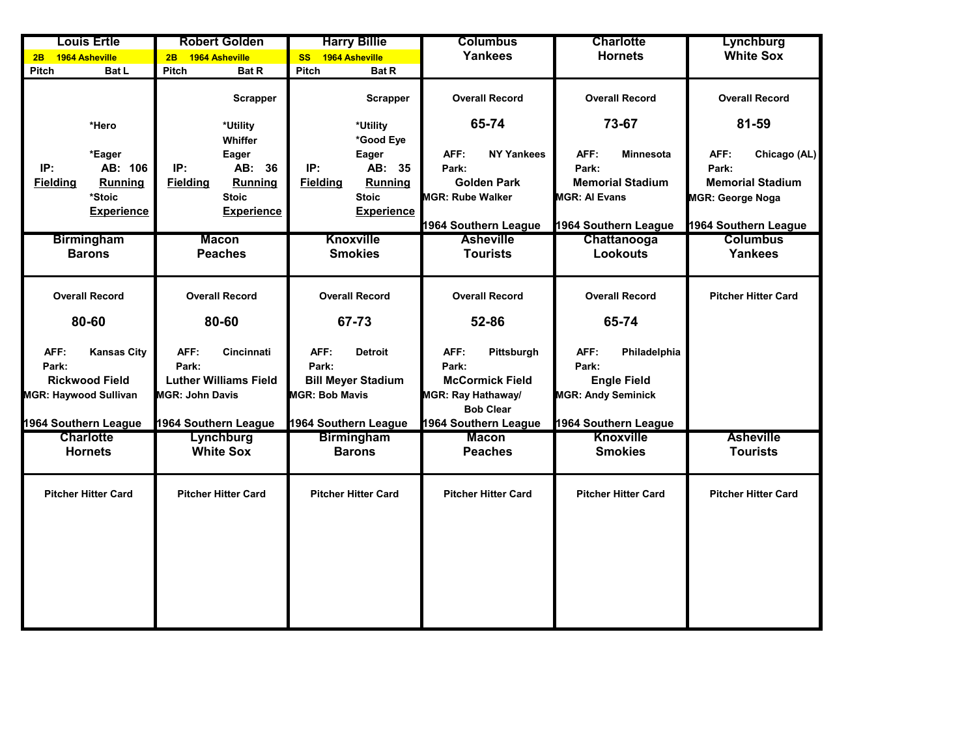| <b>Louis Ertle</b>           |                    | <b>Robert Golden</b>         |                     | <b>Harry Billie</b>         |                       | <b>Columbus</b>                               |                       | <b>Charlotte</b>           |                         | Lynchburg                  |                            |
|------------------------------|--------------------|------------------------------|---------------------|-----------------------------|-----------------------|-----------------------------------------------|-----------------------|----------------------------|-------------------------|----------------------------|----------------------------|
| 1964 Asheville<br>2B         |                    | 1964 Asheville<br>2B         |                     | 1964 Asheville<br><b>SS</b> |                       | <b>Yankees</b>                                |                       | <b>Hornets</b>             |                         | <b>White Sox</b>           |                            |
| Pitch                        | <b>Bat L</b>       | Pitch                        | <b>Bat R</b>        | Pitch                       | <b>Bat R</b>          |                                               |                       |                            |                         |                            |                            |
|                              |                    |                              | Scrapper            |                             | <b>Scrapper</b>       |                                               | <b>Overall Record</b> |                            | <b>Overall Record</b>   |                            | <b>Overall Record</b>      |
|                              | *Hero              |                              | *Utility<br>Whiffer |                             | *Utility<br>*Good Eye |                                               | 65-74                 |                            | 73-67                   |                            | 81-59                      |
|                              | *Eager             |                              | Eager               |                             | Eager                 | AFF:                                          | <b>NY Yankees</b>     | AFF:                       | <b>Minnesota</b>        | AFF:                       | Chicago (AL)               |
| IP:                          | AB: 106            | IP:                          | AB: 36              | IP:                         | AB: 35                | Park:                                         |                       | Park:                      |                         | Park:                      |                            |
| <b>Fielding</b>              | <b>Running</b>     | <b>Fielding</b>              | <b>Running</b>      | <b>Fielding</b>             | <b>Running</b>        |                                               | <b>Golden Park</b>    |                            | <b>Memorial Stadium</b> |                            | <b>Memorial Stadium</b>    |
|                              | *Stoic             |                              | <b>Stoic</b>        |                             | <b>Stoic</b>          | <b>MGR: Rube Walker</b>                       |                       | <b>MGR: Al Evans</b>       |                         | <b>MGR: George Noga</b>    |                            |
|                              | <b>Experience</b>  |                              | <b>Experience</b>   |                             | <b>Experience</b>     |                                               |                       |                            |                         |                            |                            |
|                              |                    |                              |                     |                             |                       |                                               | 1964 Southern League  |                            | 1964 Southern League    | 1964 Southern League       |                            |
|                              | <b>Birmingham</b>  | <b>Macon</b>                 |                     | <b>Knoxville</b>            |                       | <b>Asheville</b>                              |                       | Chattanooga                |                         |                            | <b>Columbus</b>            |
|                              | <b>Barons</b>      |                              | <b>Peaches</b>      |                             | <b>Smokies</b>        |                                               | <b>Tourists</b>       | <b>Lookouts</b>            |                         | <b>Yankees</b>             |                            |
|                              |                    |                              |                     |                             |                       |                                               |                       |                            |                         |                            |                            |
| <b>Overall Record</b>        |                    | <b>Overall Record</b>        |                     | <b>Overall Record</b>       |                       | <b>Overall Record</b>                         |                       | <b>Overall Record</b>      |                         | <b>Pitcher Hitter Card</b> |                            |
| 80-60                        |                    | 80-60                        |                     | 67-73                       |                       | 52-86                                         |                       | 65-74                      |                         |                            |                            |
| AFF:                         | <b>Kansas City</b> | AFF:                         | Cincinnati          | AFF:                        | <b>Detroit</b>        | AFF:                                          | Pittsburgh            | AFF:                       | Philadelphia            |                            |                            |
| Park:                        |                    | Park:                        |                     | Park:                       |                       | Park:                                         |                       | Park:                      |                         |                            |                            |
| <b>Rickwood Field</b>        |                    | <b>Luther Williams Field</b> |                     | <b>Bill Meyer Stadium</b>   |                       | <b>McCormick Field</b>                        |                       | <b>Engle Field</b>         |                         |                            |                            |
| <b>MGR: Haywood Sullivan</b> |                    | <b>MGR: John Davis</b>       |                     | <b>MGR: Bob Mavis</b>       |                       | <b>MGR: Ray Hathaway/</b><br><b>Bob Clear</b> |                       | <b>MGR: Andy Seminick</b>  |                         |                            |                            |
| 1964 Southern League         |                    | 1964 Southern League         |                     | 1964 Southern League        |                       |                                               | 1964 Southern League  |                            | 1964 Southern League    |                            |                            |
| <b>Charlotte</b>             |                    | Lynchburg                    |                     | <b>Birmingham</b>           |                       | <b>Macon</b>                                  |                       | <b>Knoxville</b>           |                         |                            | <b>Asheville</b>           |
| <b>Hornets</b>               |                    | <b>White Sox</b>             |                     | <b>Barons</b>               |                       | <b>Peaches</b>                                |                       | <b>Smokies</b>             |                         |                            | <b>Tourists</b>            |
|                              |                    |                              |                     |                             |                       |                                               |                       |                            |                         |                            |                            |
| <b>Pitcher Hitter Card</b>   |                    | <b>Pitcher Hitter Card</b>   |                     | <b>Pitcher Hitter Card</b>  |                       | <b>Pitcher Hitter Card</b>                    |                       | <b>Pitcher Hitter Card</b> |                         |                            | <b>Pitcher Hitter Card</b> |
|                              |                    |                              |                     |                             |                       |                                               |                       |                            |                         |                            |                            |
|                              |                    |                              |                     |                             |                       |                                               |                       |                            |                         |                            |                            |
|                              |                    |                              |                     |                             |                       |                                               |                       |                            |                         |                            |                            |
|                              |                    |                              |                     |                             |                       |                                               |                       |                            |                         |                            |                            |
|                              |                    |                              |                     |                             |                       |                                               |                       |                            |                         |                            |                            |